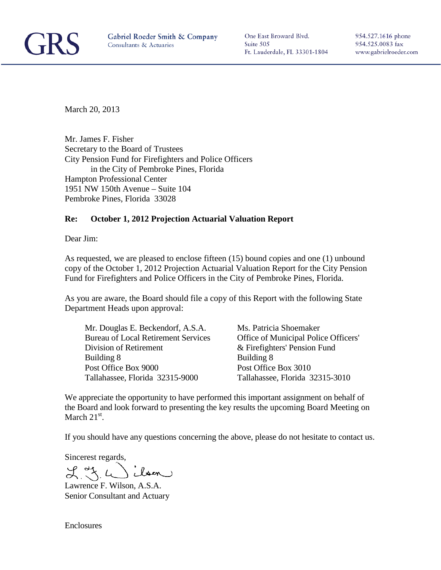

One East Broward Blvd. Suite 505 Ft. Lauderdale, FL 33301-1804 954.527.1616 phone 954.525.0083 fax www.gabrielroeder.com

March 20, 2013

Mr. James F. Fisher Secretary to the Board of Trustees City Pension Fund for Firefighters and Police Officers in the City of Pembroke Pines, Florida Hampton Professional Center 1951 NW 150th Avenue – Suite 104 Pembroke Pines, Florida 33028

#### **Re: October 1, 2012 Projection Actuarial Valuation Report**

Dear Jim:

As requested, we are pleased to enclose fifteen (15) bound copies and one (1) unbound copy of the October 1, 2012 Projection Actuarial Valuation Report for the City Pension Fund for Firefighters and Police Officers in the City of Pembroke Pines, Florida.

As you are aware, the Board should file a copy of this Report with the following State Department Heads upon approval:

| Mr. Douglas E. Beckendorf, A.S.A.          | Ms. Patricia Shoemaker               |
|--------------------------------------------|--------------------------------------|
| <b>Bureau of Local Retirement Services</b> | Office of Municipal Police Officers' |
| Division of Retirement                     | & Firefighters' Pension Fund         |
| <b>Building 8</b>                          | Building 8                           |
| Post Office Box 9000                       | Post Office Box 3010                 |
| Tallahassee, Florida 32315-9000            | Tallahassee, Florida 32315-3010      |

We appreciate the opportunity to have performed this important assignment on behalf of the Board and look forward to presenting the key results the upcoming Board Meeting on March  $21<sup>st</sup>$ .

If you should have any questions concerning the above, please do not hesitate to contact us.

Sincerest regards,

Lawrence F. Wilson, A.S.A. Senior Consultant and Actuary

Enclosures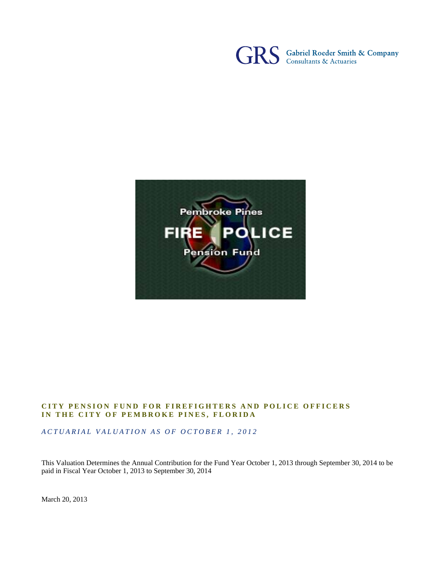



#### **CITY PENSION FUND FOR FIREFIGHTERS AND POLICE OFFICERS IN THE CITY OF PEMBROKE PINES, FLORIDA**

*ACTUARIAL VALUATION AS OF OCTOBER 1, 2012* 

This Valuation Determines the Annual Contribution for the Fund Year October 1, 2013 through September 30, 2014 to be paid in Fiscal Year October 1, 2013 to September 30, 2014

March 20, 2013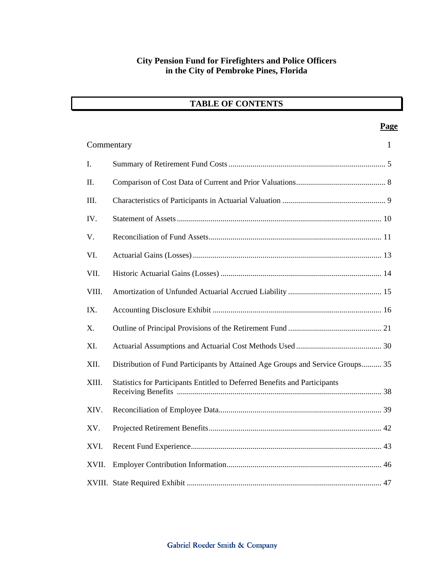|  |  | <b>TABLE OF CONTENTS</b> |
|--|--|--------------------------|
|--|--|--------------------------|

|             |                                                                                | Page         |
|-------------|--------------------------------------------------------------------------------|--------------|
|             | Commentary                                                                     | $\mathbf{1}$ |
| $I_{\cdot}$ |                                                                                |              |
| II.         |                                                                                |              |
| III.        |                                                                                |              |
| IV.         |                                                                                |              |
| V.          |                                                                                |              |
| VI.         |                                                                                |              |
| VII.        |                                                                                |              |
| VIII.       |                                                                                |              |
| IX.         |                                                                                |              |
| X.          |                                                                                |              |
| XI.         |                                                                                |              |
| XII.        | Distribution of Fund Participants by Attained Age Groups and Service Groups 35 |              |
| XIII.       | Statistics for Participants Entitled to Deferred Benefits and Participants     |              |
| XIV.        |                                                                                |              |
| XV.         |                                                                                |              |
| XVI.        |                                                                                |              |
| XVII.       |                                                                                |              |
|             |                                                                                |              |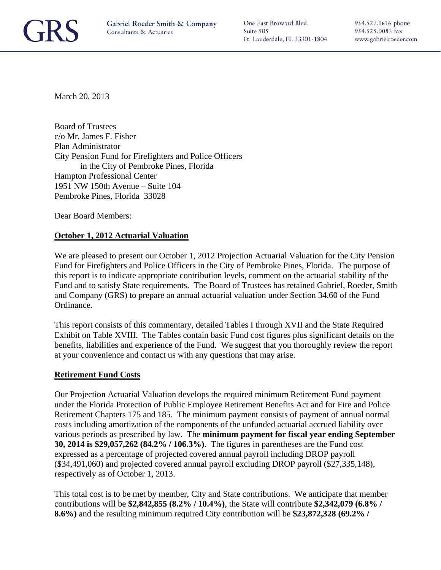

One East Broward Blvd. Suite 505 Ft. Lauderdale, FL 33301-1804 954.527.1616 phone 954.525.0083 fax www.gabrielroeder.com

March 20, 2013

Board of Trustees c/o Mr. James F. Fisher Plan Administrator City Pension Fund for Firefighters and Police Officers in the City of Pembroke Pines, Florida Hampton Professional Center 1951 NW 150th Avenue – Suite 104 Pembroke Pines, Florida 33028

Dear Board Members:

#### **October 1, 2012 Actuarial Valuation**

We are pleased to present our October 1, 2012 Projection Actuarial Valuation for the City Pension Fund for Firefighters and Police Officers in the City of Pembroke Pines, Florida. The purpose of this report is to indicate appropriate contribution levels, comment on the actuarial stability of the Fund and to satisfy State requirements. The Board of Trustees has retained Gabriel, Roeder, Smith and Company (GRS) to prepare an annual actuarial valuation under Section 34.60 of the Fund Ordinance.

This report consists of this commentary, detailed Tables I through XVII and the State Required Exhibit on Table XVIII. The Tables contain basic Fund cost figures plus significant details on the benefits, liabilities and experience of the Fund. We suggest that you thoroughly review the report at your convenience and contact us with any questions that may arise.

#### **Retirement Fund Costs**

Our Projection Actuarial Valuation develops the required minimum Retirement Fund payment under the Florida Protection of Public Employee Retirement Benefits Act and for Fire and Police Retirement Chapters 175 and 185. The minimum payment consists of payment of annual normal costs including amortization of the components of the unfunded actuarial accrued liability over various periods as prescribed by law. The **minimum payment for fiscal year ending September 30, 2014 is \$29,057,262 (84.2% / 106.3%)**. The figures in parentheses are the Fund cost expressed as a percentage of projected covered annual payroll including DROP payroll (\$34,491,060) and projected covered annual payroll excluding DROP payroll (\$27,335,148), respectively as of October 1, 2013.

This total cost is to be met by member, City and State contributions. We anticipate that member contributions will be **\$2,842,855 (8.2% / 10.4%)**, the State will contribute **\$2,342,079 (6.8% / 8.6%)** and the resulting minimum required City contribution will be **\$23,872,328 (69.2% /**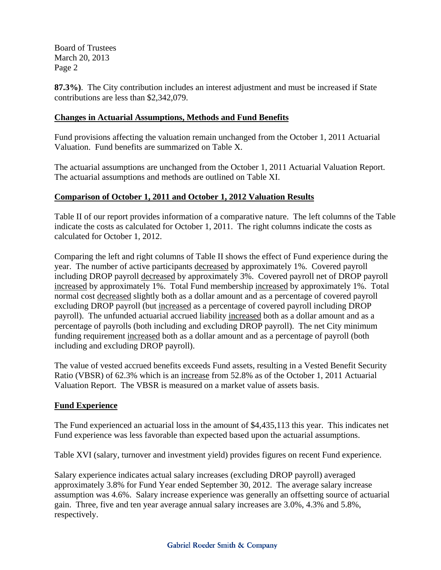Board of Trustees March 20, 2013 Page 2

**87.3%)**. The City contribution includes an interest adjustment and must be increased if State contributions are less than \$2,342,079.

#### **Changes in Actuarial Assumptions, Methods and Fund Benefits**

Fund provisions affecting the valuation remain unchanged from the October 1, 2011 Actuarial Valuation. Fund benefits are summarized on Table X.

The actuarial assumptions are unchanged from the October 1, 2011 Actuarial Valuation Report. The actuarial assumptions and methods are outlined on Table XI.

### **Comparison of October 1, 2011 and October 1, 2012 Valuation Results**

Table II of our report provides information of a comparative nature. The left columns of the Table indicate the costs as calculated for October 1, 2011. The right columns indicate the costs as calculated for October 1, 2012.

Comparing the left and right columns of Table II shows the effect of Fund experience during the year. The number of active participants decreased by approximately 1%. Covered payroll including DROP payroll decreased by approximately 3%. Covered payroll net of DROP payroll increased by approximately 1%. Total Fund membership increased by approximately 1%. Total normal cost decreased slightly both as a dollar amount and as a percentage of covered payroll excluding DROP payroll (but increased as a percentage of covered payroll including DROP payroll). The unfunded actuarial accrued liability increased both as a dollar amount and as a percentage of payrolls (both including and excluding DROP payroll). The net City minimum funding requirement increased both as a dollar amount and as a percentage of payroll (both including and excluding DROP payroll).

The value of vested accrued benefits exceeds Fund assets, resulting in a Vested Benefit Security Ratio (VBSR) of 62.3% which is an increase from 52.8% as of the October 1, 2011 Actuarial Valuation Report. The VBSR is measured on a market value of assets basis.

### **Fund Experience**

The Fund experienced an actuarial loss in the amount of \$4,435,113 this year. This indicates net Fund experience was less favorable than expected based upon the actuarial assumptions.

Table XVI (salary, turnover and investment yield) provides figures on recent Fund experience.

Salary experience indicates actual salary increases (excluding DROP payroll) averaged approximately 3.8% for Fund Year ended September 30, 2012. The average salary increase assumption was 4.6%. Salary increase experience was generally an offsetting source of actuarial gain. Three, five and ten year average annual salary increases are 3.0%, 4.3% and 5.8%, respectively.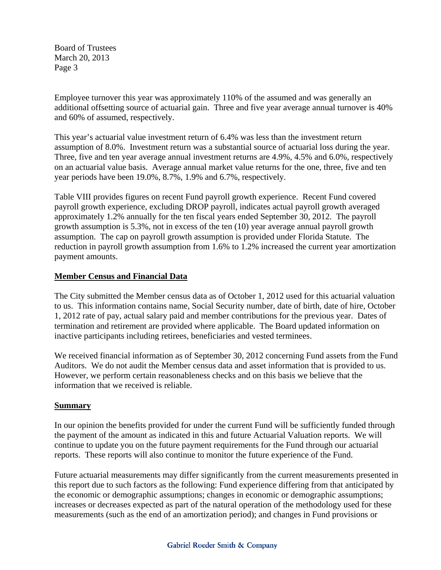Board of Trustees March 20, 2013 Page 3

Employee turnover this year was approximately 110% of the assumed and was generally an additional offsetting source of actuarial gain. Three and five year average annual turnover is 40% and 60% of assumed, respectively.

This year's actuarial value investment return of 6.4% was less than the investment return assumption of 8.0%. Investment return was a substantial source of actuarial loss during the year. Three, five and ten year average annual investment returns are 4.9%, 4.5% and 6.0%, respectively on an actuarial value basis. Average annual market value returns for the one, three, five and ten year periods have been 19.0%, 8.7%, 1.9% and 6.7%, respectively.

Table VIII provides figures on recent Fund payroll growth experience. Recent Fund covered payroll growth experience, excluding DROP payroll, indicates actual payroll growth averaged approximately 1.2% annually for the ten fiscal years ended September 30, 2012. The payroll growth assumption is 5.3%, not in excess of the ten (10) year average annual payroll growth assumption. The cap on payroll growth assumption is provided under Florida Statute. The reduction in payroll growth assumption from 1.6% to 1.2% increased the current year amortization payment amounts.

#### **Member Census and Financial Data**

The City submitted the Member census data as of October 1, 2012 used for this actuarial valuation to us. This information contains name, Social Security number, date of birth, date of hire, October 1, 2012 rate of pay, actual salary paid and member contributions for the previous year. Dates of termination and retirement are provided where applicable. The Board updated information on inactive participants including retirees, beneficiaries and vested terminees.

We received financial information as of September 30, 2012 concerning Fund assets from the Fund Auditors. We do not audit the Member census data and asset information that is provided to us. However, we perform certain reasonableness checks and on this basis we believe that the information that we received is reliable.

#### **Summary**

In our opinion the benefits provided for under the current Fund will be sufficiently funded through the payment of the amount as indicated in this and future Actuarial Valuation reports. We will continue to update you on the future payment requirements for the Fund through our actuarial reports. These reports will also continue to monitor the future experience of the Fund.

Future actuarial measurements may differ significantly from the current measurements presented in this report due to such factors as the following: Fund experience differing from that anticipated by the economic or demographic assumptions; changes in economic or demographic assumptions; increases or decreases expected as part of the natural operation of the methodology used for these measurements (such as the end of an amortization period); and changes in Fund provisions or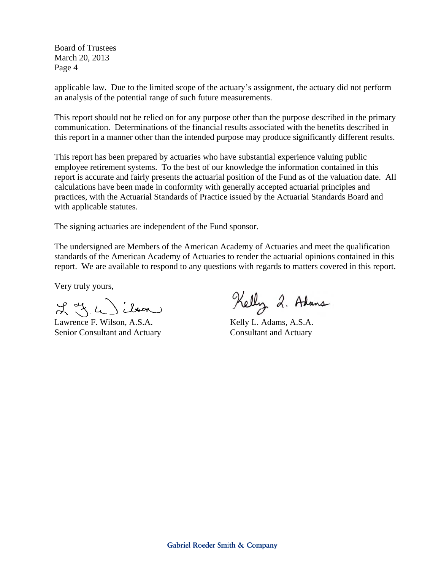Board of Trustees March 20, 2013 Page 4

applicable law. Due to the limited scope of the actuary's assignment, the actuary did not perform an analysis of the potential range of such future measurements.

This report should not be relied on for any purpose other than the purpose described in the primary communication. Determinations of the financial results associated with the benefits described in this report in a manner other than the intended purpose may produce significantly different results.

This report has been prepared by actuaries who have substantial experience valuing public employee retirement systems. To the best of our knowledge the information contained in this report is accurate and fairly presents the actuarial position of the Fund as of the valuation date. All calculations have been made in conformity with generally accepted actuarial principles and practices, with the Actuarial Standards of Practice issued by the Actuarial Standards Board and with applicable statutes.

The signing actuaries are independent of the Fund sponsor.

The undersigned are Members of the American Academy of Actuaries and meet the qualification standards of the American Academy of Actuaries to render the actuarial opinions contained in this report. We are available to respond to any questions with regards to matters covered in this report.

Very truly yours,

ilsen  $L^*$ 

Lawrence F. Wilson, A.S.A. Senior Consultant and Actuary

Kelly 2. Adans

Kelly L. Adams, A.S.A. Consultant and Actuary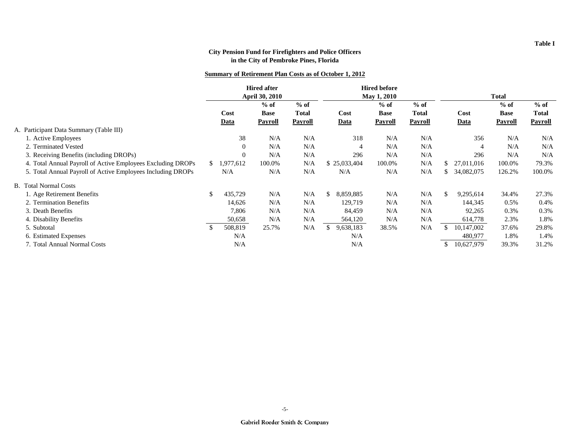#### **Summary of Retirement Plan Costs as of October 1, 2012**

|                                                             | <b>Hired after</b><br><b>April 30, 2010</b> |             | <b>Hired before</b><br><b>May 1, 2010</b> |              |    |                | <b>Total</b>   |              |     |                |                |                |
|-------------------------------------------------------------|---------------------------------------------|-------------|-------------------------------------------|--------------|----|----------------|----------------|--------------|-----|----------------|----------------|----------------|
|                                                             |                                             |             | $%$ of                                    | $%$ of       |    |                | $%$ of         | $%$ of       |     |                | $%$ of         | $%$ of         |
|                                                             |                                             | Cost        | <b>Base</b>                               | <b>Total</b> |    | Cost           | <b>Base</b>    | <b>Total</b> |     | Cost           | <b>Base</b>    | <b>Total</b>   |
|                                                             |                                             | <b>Data</b> | <b>Payroll</b>                            | Payroll      |    | Data           | <b>Payroll</b> | Payroll      |     | <b>Data</b>    | <b>Payroll</b> | <b>Payroll</b> |
| A. Participant Data Summary (Table III)                     |                                             |             |                                           |              |    |                |                |              |     |                |                |                |
| 1. Active Employees                                         |                                             | 38          | N/A                                       | N/A          |    | 318            | N/A            | N/A          |     | 356            | N/A            | N/A            |
| 2. Terminated Vested                                        |                                             | $\theta$    | N/A                                       | N/A          |    | $\overline{4}$ | N/A            | N/A          |     | $\overline{4}$ | N/A            | N/A            |
| 3. Receiving Benefits (including DROPs)                     |                                             | $\Omega$    | N/A                                       | N/A          |    | 296            | N/A            | N/A          |     | 296            | N/A            | N/A            |
| 4. Total Annual Payroll of Active Employees Excluding DROPs | \$.                                         | .977,612    | 100.0%                                    | N/A          |    | \$25,033,404   | 100.0%         | N/A          | S   | 27,011,016     | 100.0%         | 79.3%          |
| 5. Total Annual Payroll of Active Employees Including DROPs |                                             | N/A         | N/A                                       | N/A          |    | N/A            | N/A            | N/A          |     | 34,082,075     | 126.2%         | 100.0%         |
| <b>B.</b> Total Normal Costs                                |                                             |             |                                           |              |    |                |                |              |     |                |                |                |
| 1. Age Retirement Benefits                                  | \$                                          | 435,729     | N/A                                       | N/A          | \$ | 8,859,885      | N/A            | N/A          | \$  | 9,295,614      | 34.4%          | 27.3%          |
| 2. Termination Benefits                                     |                                             | 14,626      | N/A                                       | N/A          |    | 129,719        | N/A            | N/A          |     | 144,345        | 0.5%           | 0.4%           |
| 3. Death Benefits                                           |                                             | 7,806       | N/A                                       | N/A          |    | 84,459         | N/A            | N/A          |     | 92,265         | 0.3%           | 0.3%           |
| 4. Disability Benefits                                      |                                             | 50,658      | N/A                                       | N/A          |    | 564,120        | N/A            | N/A          |     | 614,778        | 2.3%           | 1.8%           |
| 5. Subtotal                                                 | \$.                                         | 508,819     | 25.7%                                     | N/A          |    | 9,638,183      | 38.5%          | N/A          |     | 10,147,002     | 37.6%          | 29.8%          |
| 6. Estimated Expenses                                       |                                             | N/A         |                                           |              |    | N/A            |                |              |     | 480,977        | 1.8%           | 1.4%           |
| 7. Total Annual Normal Costs                                |                                             | N/A         |                                           |              |    | N/A            |                |              | \$. | 10,627,979     | 39.3%          | 31.2%          |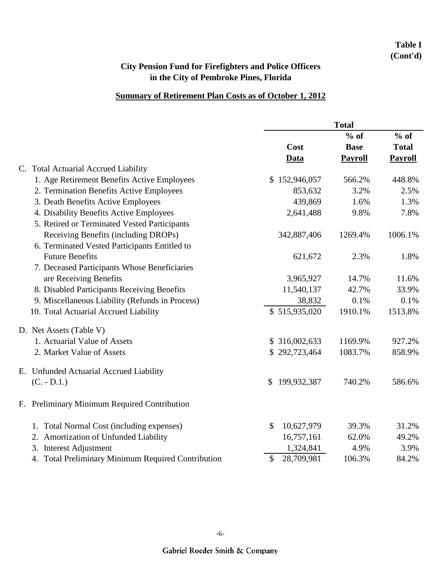## **Table I (Cont'd)**

## **City Pension Fund for Firefighters and Police Officers in the City of Pembroke Pines, Florida**

### **Summary of Retirement Plan Costs as of October 1, 2012**

|                                                          | <b>Total</b>      |                |                |  |  |
|----------------------------------------------------------|-------------------|----------------|----------------|--|--|
|                                                          |                   | $%$ of         | $%$ of         |  |  |
|                                                          | Cost              | <b>Base</b>    | <b>Total</b>   |  |  |
|                                                          | <b>Data</b>       | <b>Payroll</b> | <b>Payroll</b> |  |  |
| C. Total Actuarial Accrued Liability                     |                   |                |                |  |  |
| 1. Age Retirement Benefits Active Employees              | 152,946,057<br>\$ | 566.2%         | 448.8%         |  |  |
| 2. Termination Benefits Active Employees                 | 853,632           | 3.2%           | 2.5%           |  |  |
| 3. Death Benefits Active Employees                       | 439,869           | 1.6%           | 1.3%           |  |  |
| 4. Disability Benefits Active Employees                  | 2,641,488         | 9.8%           | 7.8%           |  |  |
| 5. Retired or Terminated Vested Participants             |                   |                |                |  |  |
| Receiving Benefits (including DROPs)                     | 342,887,406       | 1269.4%        | 1006.1%        |  |  |
| 6. Terminated Vested Participants Entitled to            |                   |                |                |  |  |
| <b>Future Benefits</b>                                   | 621,672           | 2.3%           | 1.8%           |  |  |
| 7. Deceased Participants Whose Beneficiaries             |                   |                |                |  |  |
| are Receiving Benefits                                   | 3,965,927         | 14.7%          | 11.6%          |  |  |
| 8. Disabled Participants Receiving Benefits              | 11,540,137        | 42.7%          | 33.9%          |  |  |
| 9. Miscellaneous Liability (Refunds in Process)          | 38,832            | 0.1%           | 0.1%           |  |  |
| 10. Total Actuarial Accrued Liability                    | \$515,935,020     | 1910.1%        | 1513.8%        |  |  |
| D. Net Assets (Table V)                                  |                   |                |                |  |  |
| 1. Actuarial Value of Assets                             | \$316,002,633     | 1169.9%        | 927.2%         |  |  |
| 2. Market Value of Assets                                | \$292,723,464     | 1083.7%        | 858.9%         |  |  |
| E. Unfunded Actuarial Accrued Liability                  |                   |                |                |  |  |
| $(C. - D.1.)$                                            | 199,932,387<br>\$ | 740.2%         | 586.6%         |  |  |
| Preliminary Minimum Required Contribution<br>$F_{\cdot}$ |                   |                |                |  |  |
| 1. Total Normal Cost (including expenses)                | \$<br>10,627,979  | 39.3%          | 31.2%          |  |  |
| Amortization of Unfunded Liability<br>2.                 | 16,757,161        | 62.0%          | 49.2%          |  |  |
| <b>Interest Adjustment</b><br>3.                         | 1,324,841         | 4.9%           | 3.9%           |  |  |
| 4. Total Preliminary Minimum Required Contribution       | \$<br>28,709,981  | 106.3%         | 84.2%          |  |  |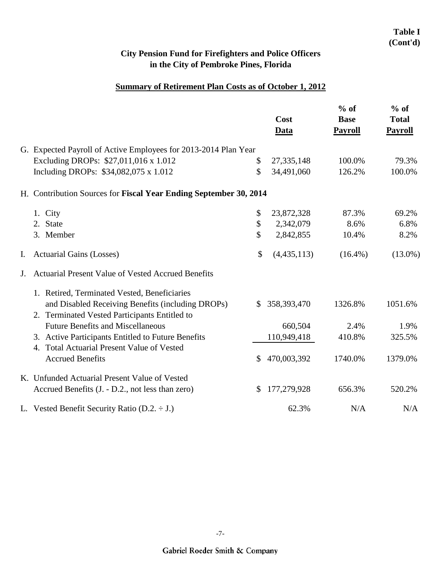### **Table I (Cont'd)**

## **City Pension Fund for Firefighters and Police Officers in the City of Pembroke Pines, Florida**

### **Summary of Retirement Plan Costs as of October 1, 2012**

|    |                                                                   |              | Cost<br><b>Data</b> | $%$ of<br><b>Base</b><br><b>Payroll</b> | $%$ of<br><b>Total</b><br><b>Payroll</b> |
|----|-------------------------------------------------------------------|--------------|---------------------|-----------------------------------------|------------------------------------------|
|    | G. Expected Payroll of Active Employees for 2013-2014 Plan Year   |              |                     |                                         |                                          |
|    | Excluding DROPs: \$27,011,016 x 1.012                             | \$           | 27,335,148          | 100.0%                                  | 79.3%                                    |
|    | Including DROPs: \$34,082,075 x 1.012                             | \$           | 34,491,060          | 126.2%                                  | 100.0%                                   |
|    | H. Contribution Sources for Fiscal Year Ending September 30, 2014 |              |                     |                                         |                                          |
|    | 1. City                                                           | \$           | 23,872,328          | 87.3%                                   | 69.2%                                    |
|    | 2. State                                                          | \$           | 2,342,079           | 8.6%                                    | 6.8%                                     |
|    | 3. Member                                                         | \$           | 2,842,855           | 10.4%                                   | 8.2%                                     |
| Ι. | <b>Actuarial Gains (Losses)</b>                                   | \$           | (4, 435, 113)       | $(16.4\%)$                              | $(13.0\%)$                               |
| J. | <b>Actuarial Present Value of Vested Accrued Benefits</b>         |              |                     |                                         |                                          |
|    | 1. Retired, Terminated Vested, Beneficiaries                      |              |                     |                                         |                                          |
|    | and Disabled Receiving Benefits (including DROPs)                 | $\mathbb{S}$ | 358,393,470         | 1326.8%                                 | 1051.6%                                  |
|    | 2. Terminated Vested Participants Entitled to                     |              |                     |                                         |                                          |
|    | <b>Future Benefits and Miscellaneous</b>                          |              | 660,504             | 2.4%                                    | 1.9%                                     |
|    | 3. Active Participants Entitled to Future Benefits                |              | 110,949,418         | 410.8%                                  | 325.5%                                   |
|    | 4. Total Actuarial Present Value of Vested                        |              |                     |                                         |                                          |
|    | <b>Accrued Benefits</b>                                           | $\mathbb{S}$ | 470,003,392         | 1740.0%                                 | 1379.0%                                  |
|    | K. Unfunded Actuarial Present Value of Vested                     |              |                     |                                         |                                          |
|    | Accrued Benefits (J. - D.2., not less than zero)                  | $\mathbb{S}$ | 177,279,928         | 656.3%                                  | 520.2%                                   |
|    | L. Vested Benefit Security Ratio (D.2. $\div$ J.)                 |              | 62.3%               | N/A                                     | N/A                                      |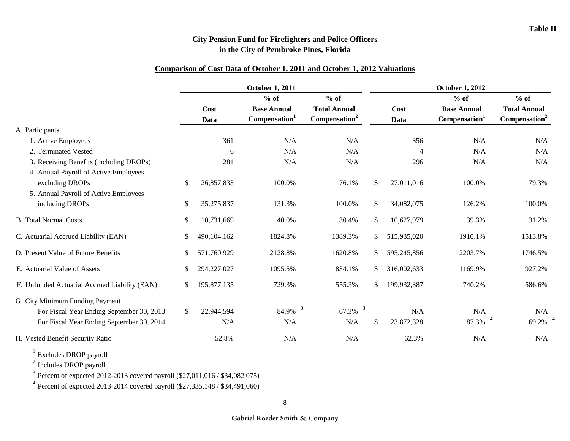#### **Comparison of Cost Data of October 1, 2011 and October 1, 2012 Valuations**

|                                                   |               |              | <b>October 1, 2011</b>                          |                                                  |              |              | <b>October 1, 2012</b>                          |                                                  |
|---------------------------------------------------|---------------|--------------|-------------------------------------------------|--------------------------------------------------|--------------|--------------|-------------------------------------------------|--------------------------------------------------|
|                                                   |               |              | $%$ of                                          | $%$ of                                           |              |              | $%$ of                                          | $%$ of                                           |
|                                                   |               | Cost<br>Data | <b>Base Annual</b><br>Compensation <sup>1</sup> | <b>Total Annual</b><br>Compensation <sup>2</sup> |              | Cost<br>Data | <b>Base Annual</b><br>Compensation <sup>1</sup> | <b>Total Annual</b><br>Compensation <sup>2</sup> |
| A. Participants                                   |               |              |                                                 |                                                  |              |              |                                                 |                                                  |
| 1. Active Employees                               |               | 361          | N/A                                             | N/A                                              |              | 356          | N/A                                             | N/A                                              |
| 2. Terminated Vested                              |               | 6            | N/A                                             | N/A                                              |              | 4            | N/A                                             | N/A                                              |
| 3. Receiving Benefits (including DROPs)           |               | 281          | N/A                                             | N/A                                              |              | 296          | N/A                                             | N/A                                              |
| 4. Annual Payroll of Active Employees             |               |              |                                                 |                                                  |              |              |                                                 |                                                  |
| excluding DROPs                                   | $\mathcal{S}$ | 26,857,833   | 100.0%                                          | 76.1%                                            | \$           | 27,011,016   | 100.0%                                          | 79.3%                                            |
| 5. Annual Payroll of Active Employees             |               |              |                                                 |                                                  |              |              |                                                 |                                                  |
| including DROPs                                   | \$            | 35,275,837   | 131.3%                                          | 100.0%                                           | \$           | 34,082,075   | 126.2%                                          | 100.0%                                           |
| <b>B.</b> Total Normal Costs                      | \$            | 10,731,669   | 40.0%                                           | 30.4%                                            | \$           | 10,627,979   | 39.3%                                           | 31.2%                                            |
| C. Actuarial Accrued Liability (EAN)              | \$            | 490,104,162  | 1824.8%                                         | 1389.3%                                          | \$           | 515,935,020  | 1910.1%                                         | 1513.8%                                          |
| D. Present Value of Future Benefits               | \$            | 571,760,929  | 2128.8%                                         | 1620.8%                                          | S.           | 595,245,856  | 2203.7%                                         | 1746.5%                                          |
| E. Actuarial Value of Assets                      | \$            | 294,227,027  | 1095.5%                                         | 834.1%                                           | $\mathbb{S}$ | 316,002,633  | 1169.9%                                         | 927.2%                                           |
| F. Unfunded Actuarial Accrued Liability (EAN)     | \$            | 195,877,135  | 729.3%                                          | 555.3%                                           | \$           | 199,932,387  | 740.2%                                          | 586.6%                                           |
| G. City Minimum Funding Payment                   |               |              |                                                 |                                                  |              |              |                                                 |                                                  |
| For Fiscal Year Ending September 30, 2013         | <sup>\$</sup> | 22,944,594   | $84.9\%$ <sup>3</sup>                           | $\overline{\mathbf{3}}$<br>67.3%                 |              | N/A          | N/A                                             | N/A                                              |
| For Fiscal Year Ending September 30, 2014         |               | N/A          | N/A                                             | N/A                                              | \$           | 23,872,328   | 87.3%                                           | 69.2%                                            |
| H. Vested Benefit Security Ratio                  |               | 52.8%        | N/A                                             | N/A                                              |              | 62.3%        | N/A                                             | N/A                                              |
| $\frac{1}{2}$ P <sub>n</sub> to dee DDOD accord 1 |               |              |                                                 |                                                  |              |              |                                                 |                                                  |

Excludes DROP payroll

<sup>2</sup> Includes DROP payroll

<sup>3</sup> Percent of expected 2012-2013 covered payroll (\$27,011,016 / \$34,082,075)

<sup>4</sup> Percent of expected 2013-2014 covered payroll (\$27,335,148 / \$34,491,060)

-8-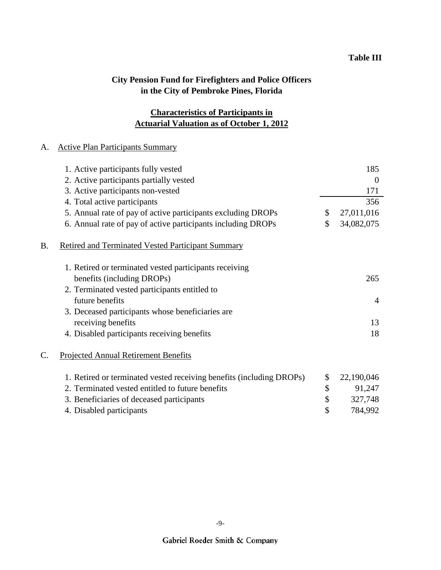## **Actuarial Valuation as of October 1, 2012 Characteristics of Participants in**

### A. Active Plan Participants Summary

|    | 1. Active participants fully vested                                  | 185              |
|----|----------------------------------------------------------------------|------------------|
|    | 2. Active participants partially vested                              | $\overline{0}$   |
|    | 3. Active participants non-vested                                    | 171              |
|    | 4. Total active participants                                         | 356              |
|    | 5. Annual rate of pay of active participants excluding DROPs         | \$<br>27,011,016 |
|    | 6. Annual rate of pay of active participants including DROPs         | \$<br>34,082,075 |
| B. | <b>Retired and Terminated Vested Participant Summary</b>             |                  |
|    | 1. Retired or terminated vested participants receiving               |                  |
|    | benefits (including DROPs)                                           | 265              |
|    | 2. Terminated vested participants entitled to                        |                  |
|    | future benefits                                                      | 4                |
|    | 3. Deceased participants whose beneficiaries are                     |                  |
|    | receiving benefits                                                   | 13               |
|    | 4. Disabled participants receiving benefits                          | 18               |
| C. | <b>Projected Annual Retirement Benefits</b>                          |                  |
|    | 1. Retired or terminated vested receiving benefits (including DROPs) | \$<br>22,190,046 |
|    | 2. Terminated vested entitled to future benefits                     | \$<br>91,247     |
|    | 3. Beneficiaries of deceased participants                            | \$<br>327,748    |
|    | 4. Disabled participants                                             | \$<br>784,992    |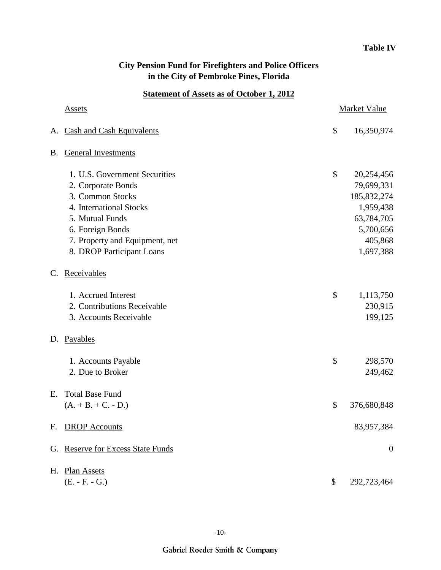### **Table IV**

## **City Pension Fund for Firefighters and Police Officers in the City of Pembroke Pines, Florida**

### **Statement of Assets as of October 1, 2012**

|    | <u>Assets</u>                         |    | Market Value     |
|----|---------------------------------------|----|------------------|
| A. | <b>Cash and Cash Equivalents</b>      | \$ | 16,350,974       |
| B. | <b>General Investments</b>            |    |                  |
|    | 1. U.S. Government Securities         | \$ | 20,254,456       |
|    | 2. Corporate Bonds                    |    | 79,699,331       |
|    | 3. Common Stocks                      |    | 185, 832, 274    |
|    | 4. International Stocks               |    | 1,959,438        |
|    | 5. Mutual Funds                       |    | 63,784,705       |
|    | 6. Foreign Bonds                      |    | 5,700,656        |
|    | 7. Property and Equipment, net        |    | 405,868          |
|    | 8. DROP Participant Loans             |    | 1,697,388        |
| C. | Receivables                           |    |                  |
|    | 1. Accrued Interest                   | \$ | 1,113,750        |
|    | 2. Contributions Receivable           |    | 230,915          |
|    | 3. Accounts Receivable                |    | 199,125          |
| D. | Payables                              |    |                  |
|    | 1. Accounts Payable                   | \$ | 298,570          |
|    | 2. Due to Broker                      |    | 249,462          |
| Е. | <b>Total Base Fund</b>                |    |                  |
|    | $(A. + B. + C. - D.)$                 | \$ | 376,680,848      |
| F. | <b>DROP</b> Accounts                  |    | 83,957,384       |
| G. | <b>Reserve for Excess State Funds</b> |    | $\boldsymbol{0}$ |
| H. | <b>Plan Assets</b>                    |    |                  |
|    | $(E. - F. - G.)$                      | \$ | 292,723,464      |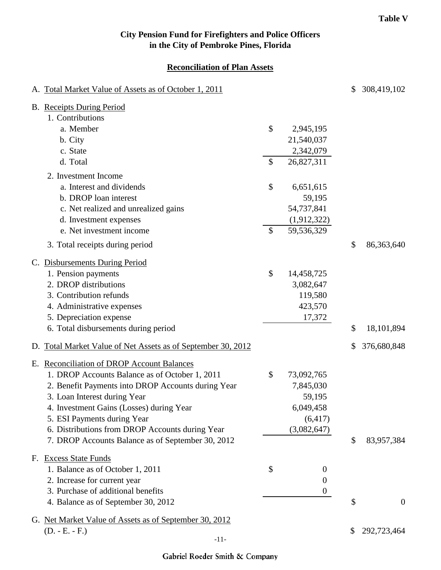### **Reconciliation of Plan Assets**

| A. Total Market Value of Assets as of October 1, 2011        |               |                  | \$<br>308,419,102    |
|--------------------------------------------------------------|---------------|------------------|----------------------|
| <b>B.</b> Receipts During Period<br>1. Contributions         |               |                  |                      |
| a. Member                                                    | \$            | 2,945,195        |                      |
| b. City                                                      |               | 21,540,037       |                      |
| c. State                                                     |               | 2,342,079        |                      |
| d. Total                                                     | $\mathcal{S}$ | 26,827,311       |                      |
| 2. Investment Income                                         |               |                  |                      |
| a. Interest and dividends                                    | \$            | 6,651,615        |                      |
| b. DROP loan interest                                        |               | 59,195           |                      |
| c. Net realized and unrealized gains                         |               | 54,737,841       |                      |
| d. Investment expenses                                       |               | (1,912,322)      |                      |
| e. Net investment income                                     | $\mathcal{S}$ | 59,536,329       |                      |
| 3. Total receipts during period                              |               |                  | \$<br>86, 363, 640   |
| C. Disbursements During Period                               |               |                  |                      |
| 1. Pension payments                                          | \$            | 14,458,725       |                      |
| 2. DROP distributions                                        |               | 3,082,647        |                      |
| 3. Contribution refunds                                      |               | 119,580          |                      |
| 4. Administrative expenses                                   |               | 423,570          |                      |
| 5. Depreciation expense                                      |               | 17,372           |                      |
| 6. Total disbursements during period                         |               |                  | \$<br>18,101,894     |
| D. Total Market Value of Net Assets as of September 30, 2012 |               |                  | \$<br>376,680,848    |
| E. Reconciliation of DROP Account Balances                   |               |                  |                      |
| 1. DROP Accounts Balance as of October 1, 2011               | $\mathcal{S}$ | 73,092,765       |                      |
| 2. Benefit Payments into DROP Accounts during Year           |               | 7,845,030        |                      |
| 3. Loan Interest during Year                                 |               | 59,195           |                      |
| 4. Investment Gains (Losses) during Year                     |               | 6,049,458        |                      |
| 5. ESI Payments during Year                                  |               | (6, 417)         |                      |
| 6. Distributions from DROP Accounts during Year              |               | (3,082,647)      |                      |
| 7. DROP Accounts Balance as of September 30, 2012            |               |                  | \$<br>83,957,384     |
| F. Excess State Funds                                        |               |                  |                      |
| 1. Balance as of October 1, 2011                             | \$            | $\boldsymbol{0}$ |                      |
| 2. Increase for current year                                 |               | 0                |                      |
| 3. Purchase of additional benefits                           |               | $\boldsymbol{0}$ |                      |
| 4. Balance as of September 30, 2012                          |               |                  | \$<br>$\overline{0}$ |
| G. Net Market Value of Assets as of September 30, 2012       |               |                  |                      |
| $(D. - E. - F.)$                                             |               |                  | \$<br>292,723,464    |
| $-11-$                                                       |               |                  |                      |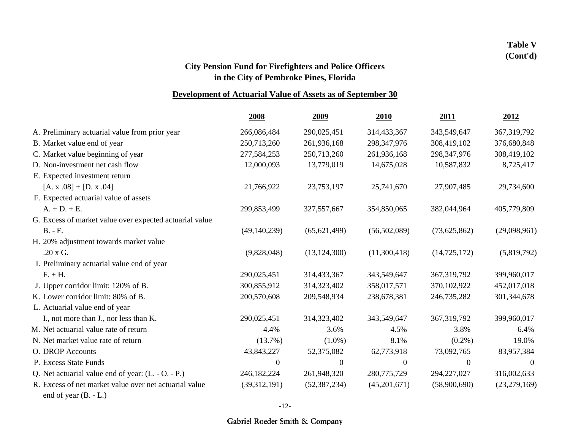## **Table V (Cont'd)**

## **City Pension Fund for Firefighters and Police Officers in the City of Pembroke Pines, Florida**

### **Development of Actuarial Value of Assets as of September 30**

|                                                         | 2008             | <u>2009</u>    | 2010           | 2011           | 2012           |
|---------------------------------------------------------|------------------|----------------|----------------|----------------|----------------|
| A. Preliminary actuarial value from prior year          | 266,086,484      | 290,025,451    | 314,433,367    | 343,549,647    | 367, 319, 792  |
| B. Market value end of year                             | 250,713,260      | 261,936,168    | 298, 347, 976  | 308,419,102    | 376,680,848    |
| C. Market value beginning of year                       | 277,584,253      | 250,713,260    | 261,936,168    | 298, 347, 976  | 308,419,102    |
| D. Non-investment net cash flow                         | 12,000,093       | 13,779,019     | 14,675,028     | 10,587,832     | 8,725,417      |
| E. Expected investment return                           |                  |                |                |                |                |
| $[A. x.08] + [D. x.04]$                                 | 21,766,922       | 23,753,197     | 25,741,670     | 27,907,485     | 29,734,600     |
| F. Expected actuarial value of assets                   |                  |                |                |                |                |
| $A. + D. + E.$                                          | 299,853,499      | 327, 557, 667  | 354,850,065    | 382,044,964    | 405,779,809    |
| G. Excess of market value over expected actuarial value |                  |                |                |                |                |
| <b>B.</b> - F.                                          | (49, 140, 239)   | (65, 621, 499) | (56,502,089)   | (73,625,862)   | (29,098,961)   |
| H. 20% adjustment towards market value                  |                  |                |                |                |                |
| .20 x G.                                                | (9,828,048)      | (13, 124, 300) | (11,300,418)   | (14, 725, 172) | (5,819,792)    |
| I. Preliminary actuarial value end of year              |                  |                |                |                |                |
| $F. + H.$                                               | 290,025,451      | 314,433,367    | 343,549,647    | 367, 319, 792  | 399,960,017    |
| J. Upper corridor limit: 120% of B.                     | 300,855,912      | 314,323,402    | 358,017,571    | 370,102,922    | 452,017,018    |
| K. Lower corridor limit: 80% of B.                      | 200,570,608      | 209,548,934    | 238,678,381    | 246,735,282    | 301,344,678    |
| L. Actuarial value end of year                          |                  |                |                |                |                |
| I., not more than J., nor less than K.                  | 290,025,451      | 314,323,402    | 343,549,647    | 367, 319, 792  | 399,960,017    |
| M. Net actuarial value rate of return                   | 4.4%             | 3.6%           | 4.5%           | 3.8%           | 6.4%           |
| N. Net market value rate of return                      | $(13.7\%)$       | $(1.0\%)$      | 8.1%           | $(0.2\%)$      | 19.0%          |
| O. DROP Accounts                                        | 43,843,227       | 52,375,082     | 62,773,918     | 73,092,765     | 83,957,384     |
| P. Excess State Funds                                   | $\boldsymbol{0}$ | $\overline{0}$ | $\overline{0}$ | $\overline{0}$ | $\Omega$       |
| Q. Net actuarial value end of year: $(L - O - P)$ .     | 246,182,224      | 261,948,320    | 280,775,729    | 294, 227, 027  | 316,002,633    |
| R. Excess of net market value over net actuarial value  | (39,312,191)     | (52, 387, 234) | (45,201,671)   | (58,900,690)   | (23, 279, 169) |
|                                                         |                  |                |                |                |                |

end of year (B. - L.)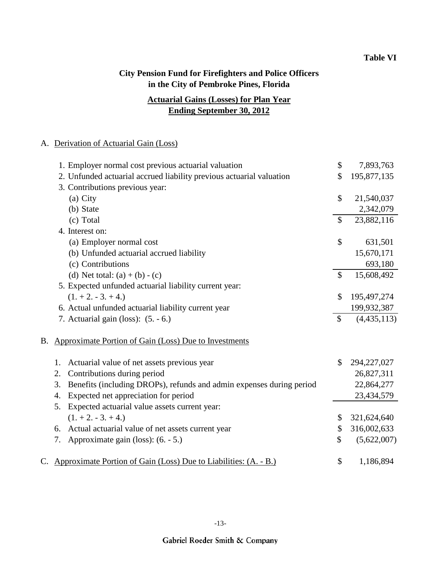## **Ending September 30, 2012 Actuarial Gains (Losses) for Plan Year**

#### A. Derivation of Actuarial Gain (Loss)

|    | 1. Employer normal cost previous actuarial valuation                       | \$            | 7,893,763     |
|----|----------------------------------------------------------------------------|---------------|---------------|
|    | 2. Unfunded actuarial accrued liability previous actuarial valuation       | \$            | 195,877,135   |
|    | 3. Contributions previous year:                                            |               |               |
|    | (a) City                                                                   | $\mathbb{S}$  | 21,540,037    |
|    | (b) State                                                                  |               | 2,342,079     |
|    | (c) Total                                                                  | $\mathcal{S}$ | 23,882,116    |
|    | 4. Interest on:                                                            |               |               |
|    | (a) Employer normal cost                                                   | \$            | 631,501       |
|    | (b) Unfunded actuarial accrued liability                                   |               | 15,670,171    |
|    | (c) Contributions                                                          |               | 693,180       |
|    | (d) Net total: $(a) + (b) - (c)$                                           | $\mathbb{S}$  | 15,608,492    |
|    | 5. Expected unfunded actuarial liability current year:                     |               |               |
|    | $(1. + 2. - 3. + 4.)$                                                      | $\mathcal{S}$ | 195,497,274   |
|    | 6. Actual unfunded actuarial liability current year                        |               | 199,932,387   |
|    | 7. Actuarial gain (loss): (5. - 6.)                                        | $\mathcal{S}$ | (4, 435, 113) |
| B. | <b>Approximate Portion of Gain (Loss) Due to Investments</b>               |               |               |
|    | Actuarial value of net assets previous year<br>1.                          | \$            | 294, 227, 027 |
|    | Contributions during period<br>2.                                          |               | 26,827,311    |
|    | Benefits (including DROPs), refunds and admin expenses during period<br>3. |               | 22,864,277    |
|    | Expected net appreciation for period<br>4.                                 |               | 23,434,579    |
|    | Expected actuarial value assets current year:<br>5.                        |               |               |
|    | $(1. + 2. - 3. + 4.)$                                                      | \$            | 321,624,640   |
|    | 6. Actual actuarial value of net assets current year                       | \$            | 316,002,633   |
|    | Approximate gain (loss): (6. - 5.)<br>7.                                   | \$            | (5,622,007)   |
|    | C. Approximate Portion of Gain (Loss) Due to Liabilities: (A. - B.)        | \$            | 1,186,894     |
|    |                                                                            |               |               |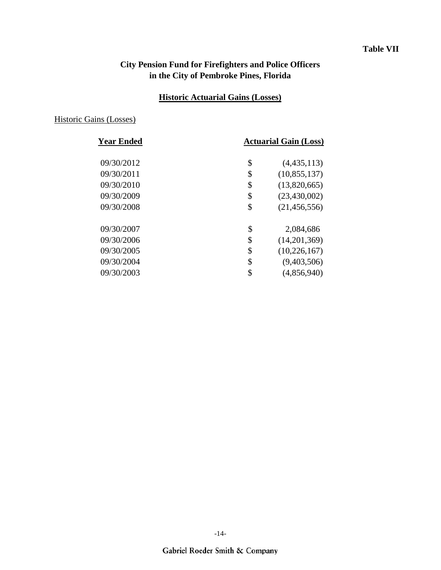### **Table VII**

## **City Pension Fund for Firefighters and Police Officers in the City of Pembroke Pines, Florida**

### **Historic Actuarial Gains (Losses)**

### Historic Gains (Losses)

| <b>Year Ended</b> | <b>Actuarial Gain (Loss)</b> |
|-------------------|------------------------------|
| 09/30/2012        | \$<br>(4,435,113)            |
| 09/30/2011        | \$<br>(10, 855, 137)         |
| 09/30/2010        | \$<br>(13,820,665)           |
| 09/30/2009        | \$<br>(23, 430, 002)         |
| 09/30/2008        | \$<br>(21, 456, 556)         |
| 09/30/2007        | \$<br>2,084,686              |
| 09/30/2006        | \$<br>(14,201,369)           |
| 09/30/2005        | \$<br>(10, 226, 167)         |
| 09/30/2004        | \$<br>(9,403,506)            |
| 09/30/2003        | \$<br>(4,856,940)            |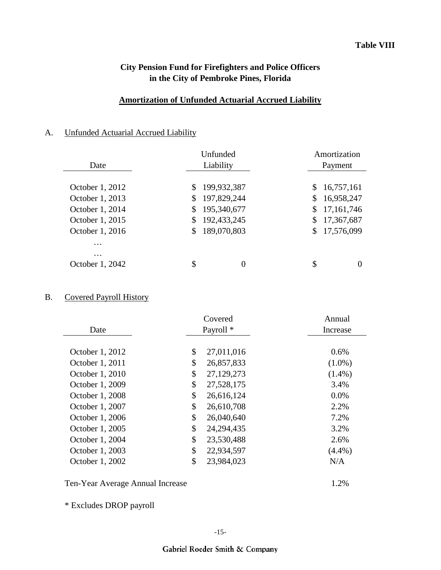### **Amortization of Unfunded Actuarial Accrued Liability**

### A. Unfunded Actuarial Accrued Liability

|                 | Unfunded |             |    | Amortization |
|-----------------|----------|-------------|----|--------------|
| Date            |          | Liability   |    | Payment      |
|                 |          |             |    |              |
| October 1, 2012 | \$       | 199,932,387 | S. | 16,757,161   |
| October 1, 2013 | \$       | 197,829,244 | S. | 16,958,247   |
| October 1, 2014 | \$       | 195,340,677 | \$ | 17, 161, 746 |
| October 1, 2015 | \$       | 192,433,245 | S. | 17,367,687   |
| October 1, 2016 | \$       | 189,070,803 | S. | 17,576,099   |
| $\cdot$         |          |             |    |              |
| $\cdots$        |          |             |    |              |
| October 1, 2042 | \$       | 0           | \$ |              |

## B. Covered Payroll History

|                 | Covered |                      | Annual    |
|-----------------|---------|----------------------|-----------|
| Date            |         | Payroll <sup>*</sup> | Increase  |
|                 |         |                      |           |
| October 1, 2012 | \$      | 27,011,016           | 0.6%      |
| October 1, 2011 | \$      | 26,857,833           | $(1.0\%)$ |
| October 1, 2010 | \$      | 27,129,273           | $(1.4\%)$ |
| October 1, 2009 | \$      | 27,528,175           | 3.4%      |
| October 1, 2008 | \$      | 26,616,124           | 0.0%      |
| October 1, 2007 | \$      | 26,610,708           | 2.2%      |
| October 1, 2006 | \$      | 26,040,640           | 7.2%      |
| October 1, 2005 | \$      | 24, 294, 435         | 3.2%      |
| October 1, 2004 | \$      | 23,530,488           | 2.6%      |
| October 1, 2003 | \$      | 22,934,597           | $(4.4\%)$ |
| October 1, 2002 | \$      | 23,984,023           | N/A       |
|                 |         |                      |           |

Ten-Year Average Annual Increase 1.2%

\* Excludes DROP payroll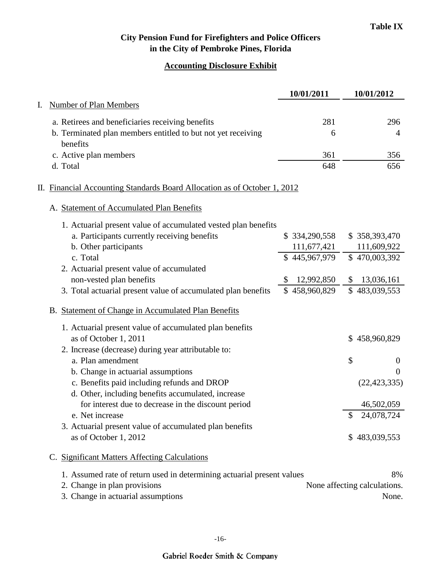# **Accounting Disclosure Exhibit**

|    |                                                                           | 10/01/2011       | 10/01/2012                   |
|----|---------------------------------------------------------------------------|------------------|------------------------------|
| I. | <b>Number of Plan Members</b>                                             |                  |                              |
|    | a. Retirees and beneficiaries receiving benefits                          | 281              | 296                          |
|    | b. Terminated plan members entitled to but not yet receiving<br>benefits  | 6                | 4                            |
|    | c. Active plan members                                                    | 361              | 356                          |
|    | d. Total                                                                  | 648              | 656                          |
|    | II. Financial Accounting Standards Board Allocation as of October 1, 2012 |                  |                              |
|    | A. Statement of Accumulated Plan Benefits                                 |                  |                              |
|    | 1. Actuarial present value of accumulated vested plan benefits            |                  |                              |
|    | a. Participants currently receiving benefits                              | \$334,290,558    | \$358,393,470                |
|    | b. Other participants                                                     | 111,677,421      | 111,609,922                  |
|    | c. Total                                                                  | \$445,967,979    | \$470,003,392                |
|    | 2. Actuarial present value of accumulated                                 |                  |                              |
|    | non-vested plan benefits                                                  | \$<br>12,992,850 | 13,036,161<br>\$             |
|    | 3. Total actuarial present value of accumulated plan benefits             | \$458,960,829    | \$483,039,553                |
|    | B. Statement of Change in Accumulated Plan Benefits                       |                  |                              |
|    | 1. Actuarial present value of accumulated plan benefits                   |                  |                              |
|    | as of October 1, 2011                                                     |                  | \$458,960,829                |
|    | 2. Increase (decrease) during year attributable to:                       |                  |                              |
|    | a. Plan amendment                                                         |                  | \$<br>$\theta$               |
|    | b. Change in actuarial assumptions                                        |                  | $\theta$                     |
|    | c. Benefits paid including refunds and DROP                               |                  | (22, 423, 335)               |
|    | d. Other, including benefits accumulated, increase                        |                  |                              |
|    | for interest due to decrease in the discount period                       |                  | 46,502,059                   |
|    | e. Net increase                                                           |                  | 24,078,724<br>\$             |
|    | 3. Actuarial present value of accumulated plan benefits                   |                  |                              |
|    | as of October 1, 2012                                                     |                  | \$483,039,553                |
|    | C. Significant Matters Affecting Calculations                             |                  |                              |
|    | 1. Assumed rate of return used in determining actuarial present values    |                  | 8%                           |
|    | 2. Change in plan provisions                                              |                  | None affecting calculations. |
|    | 3. Change in actuarial assumptions                                        |                  | None.                        |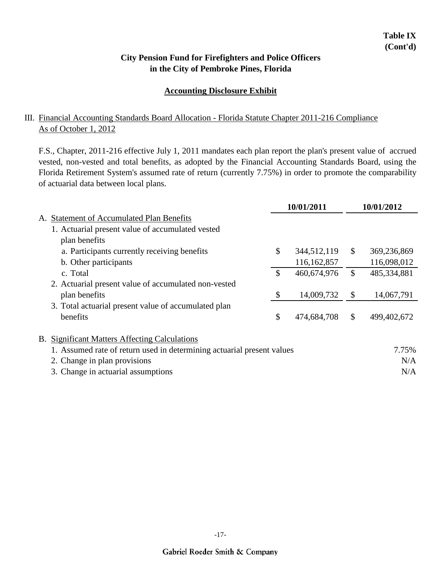### **Accounting Disclosure Exhibit**

### III. Financial Accounting Standards Board Allocation - Florida Statute Chapter 2011-216 Compliance As of October 1, 2012

F.S., Chapter, 2011-216 effective July 1, 2011 mandates each plan report the plan's present value of accrued vested, non-vested and total benefits, as adopted by the Financial Accounting Standards Board, using the Florida Retirement System's assumed rate of return (currently 7.75%) in order to promote the comparability of actuarial data between local plans.

|               |                                                                        |               | 10/01/2011  |               | 10/01/2012  |
|---------------|------------------------------------------------------------------------|---------------|-------------|---------------|-------------|
| А.            | <b>Statement of Accumulated Plan Benefits</b>                          |               |             |               |             |
|               | 1. Actuarial present value of accumulated vested                       |               |             |               |             |
| plan benefits |                                                                        |               |             |               |             |
|               | a. Participants currently receiving benefits                           | $\mathcal{S}$ | 344,512,119 | \$            | 369,236,869 |
|               | b. Other participants                                                  |               | 116,162,857 |               | 116,098,012 |
| c. Total      |                                                                        | $\mathcal{S}$ | 460,674,976 | $\mathbb{S}$  | 485,334,881 |
|               | 2. Actuarial present value of accumulated non-vested                   |               |             |               |             |
| plan benefits |                                                                        | \$            | 14,009,732  | $\mathcal{S}$ | 14,067,791  |
|               | 3. Total actuarial present value of accumulated plan                   |               |             |               |             |
| benefits      |                                                                        | \$            | 474,684,708 | $\mathcal{S}$ | 499,402,672 |
|               | <b>B.</b> Significant Matters Affecting Calculations                   |               |             |               |             |
|               | 1. Assumed rate of return used in determining actuarial present values |               |             |               | 7.75%       |
|               | 2. Change in plan provisions                                           |               |             |               | N/A         |
|               | 3. Change in actuarial assumptions                                     |               |             |               | N/A         |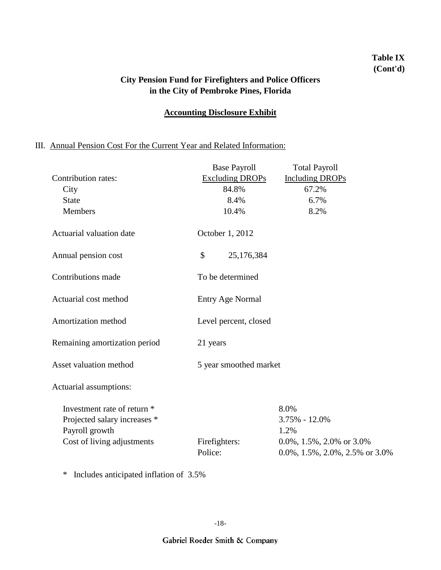## **Table IX (Cont'd)**

### **City Pension Fund for Firefighters and Police Officers in the City of Pembroke Pines, Florida**

### **Accounting Disclosure Exhibit**

## III. Annual Pension Cost For the Current Year and Related Information:

|                               | <b>Base Payroll</b>      | <b>Total Payroll</b>                           |  |  |
|-------------------------------|--------------------------|------------------------------------------------|--|--|
| Contribution rates:           | <b>Excluding DROPs</b>   | <b>Including DROPs</b>                         |  |  |
| City                          | 84.8%                    | 67.2%                                          |  |  |
| <b>State</b>                  | 8.4%                     | 6.7%                                           |  |  |
| Members                       | 10.4%                    | 8.2%                                           |  |  |
| Actuarial valuation date      | October 1, 2012          |                                                |  |  |
| Annual pension cost           | \$<br>25,176,384         |                                                |  |  |
| Contributions made            | To be determined         |                                                |  |  |
| Actuarial cost method         | <b>Entry Age Normal</b>  |                                                |  |  |
| Amortization method           | Level percent, closed    |                                                |  |  |
| Remaining amortization period | 21 years                 |                                                |  |  |
| Asset valuation method        | 5 year smoothed market   |                                                |  |  |
| Actuarial assumptions:        |                          |                                                |  |  |
| Investment rate of return *   |                          | 8.0%                                           |  |  |
| Projected salary increases *  |                          | 3.75% - 12.0%                                  |  |  |
| Payroll growth                |                          | 1.2%                                           |  |  |
| Cost of living adjustments    | Firefighters:<br>Police: | 0.0%, 1.5%, 2.0% or $3.0\%$                    |  |  |
|                               |                          | $0.0\%, 1.5\%, 2.0\%, 2.5\% \text{ or } 3.0\%$ |  |  |

\* Includes anticipated inflation of 3.5%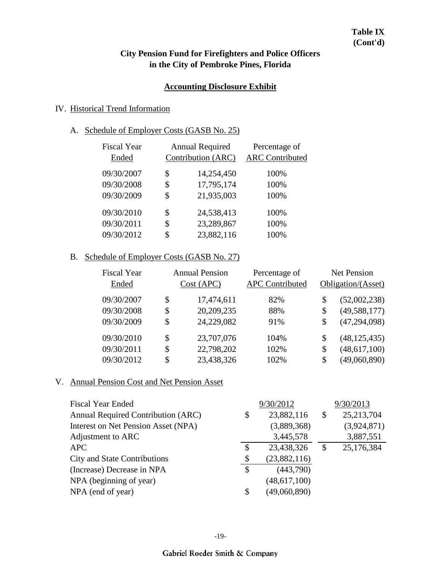### **Table IX (Cont'd)**

## **City Pension Fund for Firefighters and Police Officers in the City of Pembroke Pines, Florida**

#### **Accounting Disclosure Exhibit**

### IV. Historical Trend Information

### A. Schedule of Employer Costs (GASB No. 25)

| <b>Fiscal Year</b><br>Ended | <b>Annual Required</b><br>Contribution (ARC) | Percentage of<br><b>ARC</b> Contributed |
|-----------------------------|----------------------------------------------|-----------------------------------------|
| 09/30/2007                  | \$<br>14,254,450                             | 100%                                    |
| 09/30/2008                  | \$<br>17,795,174                             | 100%                                    |
| 09/30/2009                  | \$<br>21,935,003                             | 100%                                    |
| 09/30/2010                  | \$<br>24,538,413                             | 100%                                    |
| 09/30/2011                  | \$<br>23,289,867                             | 100%                                    |
| 09/30/2012                  | \$<br>23,882,116                             | 100%                                    |
|                             |                                              |                                         |

### B. Schedule of Employer Costs (GASB No. 27)

| <b>Fiscal Year</b><br>Ended | <b>Annual Pension</b><br>Cost (APC) | Percentage of<br><b>APC Contributed</b> |    | <b>Net Pension</b><br>Obligation/(Asset) |
|-----------------------------|-------------------------------------|-----------------------------------------|----|------------------------------------------|
| 09/30/2007                  | \$<br>17,474,611                    | 82%                                     | \$ | (52,002,238)                             |
| 09/30/2008                  | \$<br>20,209,235                    | 88%                                     | \$ | (49, 588, 177)                           |
| 09/30/2009                  | \$<br>24,229,082                    | 91%                                     | \$ | (47, 294, 098)                           |
| 09/30/2010                  | \$<br>23,707,076                    | 104%                                    | \$ | (48, 125, 435)                           |
| 09/30/2011                  | \$<br>22,798,202                    | 102%                                    | \$ | (48, 617, 100)                           |
| 09/30/2012                  | \$<br>23,438,326                    | 102%                                    | S  | (49,060,890)                             |

### V. Annual Pension Cost and Net Pension Asset

| <b>Fiscal Year Ended</b>            | 9/30/2012          | 9/30/2013          |
|-------------------------------------|--------------------|--------------------|
| Annual Required Contribution (ARC)  | \$<br>23,882,116   | \$<br>25, 213, 704 |
| Interest on Net Pension Asset (NPA) | (3,889,368)        | (3,924,871)        |
| Adjustment to ARC                   | 3,445,578          | 3,887,551          |
| <b>APC</b>                          | \$<br>23,438,326   | \$<br>25,176,384   |
| <b>City and State Contributions</b> | \$<br>(23,882,116) |                    |
| (Increase) Decrease in NPA          | \$<br>(443,790)    |                    |
| NPA (beginning of year)             | (48, 617, 100)     |                    |
| NPA (end of year)                   | \$<br>(49,060,890) |                    |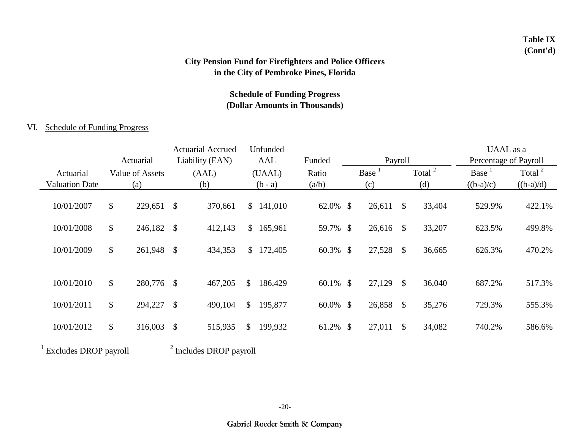### **Table IX (Cont'd)**

## **City Pension Fund for Firefighters and Police Officers in the City of Pembroke Pines, Florida**

## **Schedule of Funding Progress (Dollar Amounts in Thousands)**

#### VI. Schedule of Funding Progress

|                       |               |                 |               | <b>Actuarial Accrued</b>           | Unfunded      |             |        |                           |                    | UAAL as a             |                    |
|-----------------------|---------------|-----------------|---------------|------------------------------------|---------------|-------------|--------|---------------------------|--------------------|-----------------------|--------------------|
|                       |               | Actuarial       |               | Liability (EAN)                    | AAL           | Funded      |        | Payroll                   |                    | Percentage of Payroll |                    |
| Actuarial             |               | Value of Assets |               | (AAL)                              | (UAAL)        | Ratio       | Base   |                           | Total <sup>2</sup> | Base <sup>1</sup>     | Total <sup>2</sup> |
| <b>Valuation Date</b> |               | (a)             |               | (b)                                | $(b - a)$     | (a/b)       | (c)    |                           | (d)                | $((b-a)/c)$           | $((b-a)/d)$        |
| 10/01/2007            | \$            | 229,651         | $\mathcal{S}$ | 370,661                            | \$141,010     | 62.0% \$    | 26,611 | $\mathbb{S}$              | 33,404             | 529.9%                | 422.1%             |
| 10/01/2008            | \$            | 246,182 \$      |               | 412,143                            | \$165,961     | 59.7% \$    | 26,616 | $\mathbb{S}$              | 33,207             | 623.5%                | 499.8%             |
| 10/01/2009            | \$            | 261,948 \$      |               | 434,353                            | \$172,405     | $60.3\%$ \$ | 27,528 | $\mathcal{S}$             | 36,665             | 626.3%                | 470.2%             |
| 10/01/2010            | $\mathcal{S}$ | 280,776         | $\mathcal{S}$ | 467,205                            | \$<br>186,429 | 60.1% \$    | 27,129 | $\mathcal{S}$             | 36,040             | 687.2%                | 517.3%             |
| 10/01/2011            | \$            | 294,227         | $\mathcal{S}$ | 490,104                            | \$<br>195,877 | $60.0\%$ \$ | 26,858 | $\boldsymbol{\mathsf{S}}$ | 35,276             | 729.3%                | 555.3%             |
| 10/01/2012            | \$            | 316,003         | \$            | 515,935                            | \$<br>199,932 | 61.2% \$    | 27,011 | \$                        | 34,082             | 740.2%                | 586.6%             |
| Excludes DROP payroll |               |                 |               | <sup>2</sup> Includes DROP payroll |               |             |        |                           |                    |                       |                    |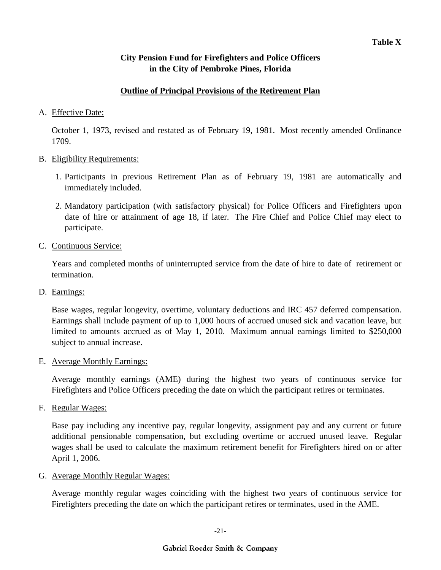### **Outline of Principal Provisions of the Retirement Plan**

### A. Effective Date:

October 1, 1973, revised and restated as of February 19, 1981. Most recently amended Ordinance 1709.

#### B. Eligibility Requirements:

- 1. Participants in previous Retirement Plan as of February 19, 1981 are automatically and immediately included.
- 2. Mandatory participation (with satisfactory physical) for Police Officers and Firefighters upon date of hire or attainment of age 18, if later. The Fire Chief and Police Chief may elect to participate.
- C. Continuous Service:

Years and completed months of uninterrupted service from the date of hire to date of retirement or termination.

D. Earnings:

Base wages, regular longevity, overtime, voluntary deductions and IRC 457 deferred compensation. Earnings shall include payment of up to 1,000 hours of accrued unused sick and vacation leave, but limited to amounts accrued as of May 1, 2010. Maximum annual earnings limited to \$250,000 subject to annual increase.

### E. Average Monthly Earnings:

Average monthly earnings (AME) during the highest two years of continuous service for Firefighters and Police Officers preceding the date on which the participant retires or terminates.

F. Regular Wages:

Base pay including any incentive pay, regular longevity, assignment pay and any current or future additional pensionable compensation, but excluding overtime or accrued unused leave. Regular wages shall be used to calculate the maximum retirement benefit for Firefighters hired on or after April 1, 2006.

G. Average Monthly Regular Wages:

Average monthly regular wages coinciding with the highest two years of continuous service for Firefighters preceding the date on which the participant retires or terminates, used in the AME.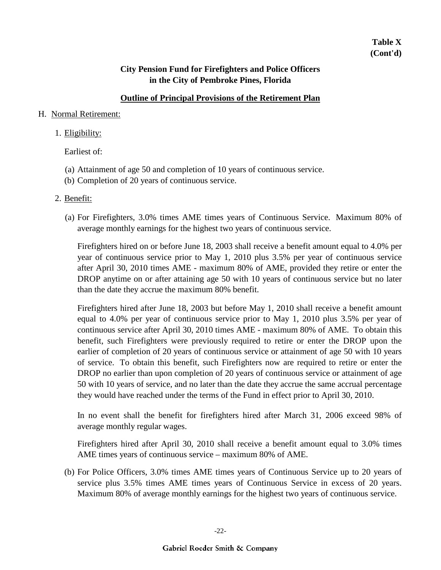### **Outline of Principal Provisions of the Retirement Plan**

#### H. Normal Retirement:

#### 1. Eligibility:

Earliest of:

- (a) Attainment of age 50 and completion of 10 years of continuous service.
- (b) Completion of 20 years of continuous service.

#### 2. Benefit:

(a) For Firefighters, 3.0% times AME times years of Continuous Service. Maximum 80% of average monthly earnings for the highest two years of continuous service.

Firefighters hired on or before June 18, 2003 shall receive a benefit amount equal to 4.0% per year of continuous service prior to May 1, 2010 plus 3.5% per year of continuous service after April 30, 2010 times AME - maximum 80% of AME, provided they retire or enter the DROP anytime on or after attaining age 50 with 10 years of continuous service but no later than the date they accrue the maximum 80% benefit.

Firefighters hired after June 18, 2003 but before May 1, 2010 shall receive a benefit amount equal to 4.0% per year of continuous service prior to May 1, 2010 plus 3.5% per year of continuous service after April 30, 2010 times AME - maximum 80% of AME. To obtain this benefit, such Firefighters were previously required to retire or enter the DROP upon the earlier of completion of 20 years of continuous service or attainment of age 50 with 10 years of service. To obtain this benefit, such Firefighters now are required to retire or enter the DROP no earlier than upon completion of 20 years of continuous service or attainment of age 50 with 10 years of service, and no later than the date they accrue the same accrual percentage they would have reached under the terms of the Fund in effect prior to April 30, 2010.

In no event shall the benefit for firefighters hired after March 31, 2006 exceed 98% of average monthly regular wages.

Firefighters hired after April 30, 2010 shall receive a benefit amount equal to 3.0% times AME times years of continuous service – maximum 80% of AME.

(b) For Police Officers, 3.0% times AME times years of Continuous Service up to 20 years of service plus 3.5% times AME times years of Continuous Service in excess of 20 years. Maximum 80% of average monthly earnings for the highest two years of continuous service.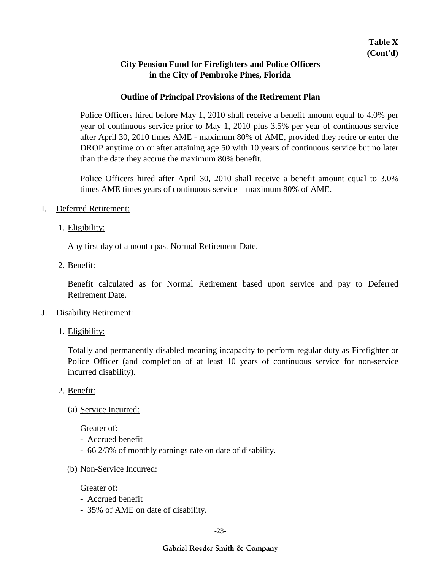#### **Outline of Principal Provisions of the Retirement Plan**

Police Officers hired before May 1, 2010 shall receive a benefit amount equal to 4.0% per year of continuous service prior to May 1, 2010 plus 3.5% per year of continuous service after April 30, 2010 times AME - maximum 80% of AME, provided they retire or enter the DROP anytime on or after attaining age 50 with 10 years of continuous service but no later than the date they accrue the maximum 80% benefit.

Police Officers hired after April 30, 2010 shall receive a benefit amount equal to 3.0% times AME times years of continuous service – maximum 80% of AME.

- I. Deferred Retirement:
	- 1. Eligibility:

Any first day of a month past Normal Retirement Date.

2. Benefit:

Benefit calculated as for Normal Retirement based upon service and pay to Deferred Retirement Date.

- J. Disability Retirement:
	- 1. Eligibility:

Totally and permanently disabled meaning incapacity to perform regular duty as Firefighter or Police Officer (and completion of at least 10 years of continuous service for non-service incurred disability).

- 2. Benefit:
	- (a) Service Incurred:

Greater of:

- Accrued benefit
- 66 2/3% of monthly earnings rate on date of disability.
- (b) Non-Service Incurred:

Greater of:

- Accrued benefit
- 35% of AME on date of disability.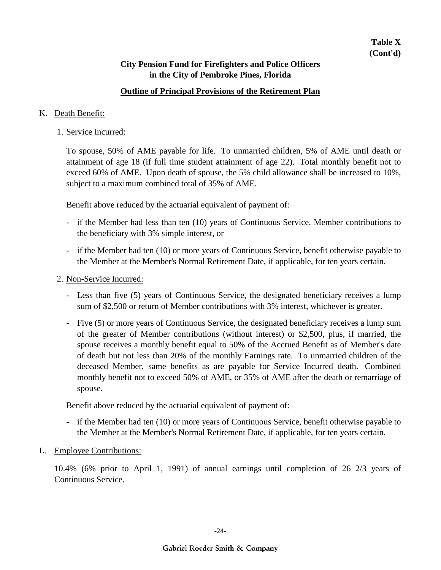### **Outline of Principal Provisions of the Retirement Plan**

#### K. Death Benefit:

1. Service Incurred:

To spouse, 50% of AME payable for life. To unmarried children, 5% of AME until death or attainment of age 18 (if full time student attainment of age 22). Total monthly benefit not to exceed 60% of AME. Upon death of spouse, the 5% child allowance shall be increased to 10%, subject to a maximum combined total of 35% of AME.

Benefit above reduced by the actuarial equivalent of payment of:

- if the Member had less than ten (10) years of Continuous Service, Member contributions to the beneficiary with 3% simple interest, or
- if the Member had ten (10) or more years of Continuous Service, benefit otherwise payable to the Member at the Member's Normal Retirement Date, if applicable, for ten years certain.
- 2. Non-Service Incurred:
	- Less than five (5) years of Continuous Service, the designated beneficiary receives a lump sum of \$2,500 or return of Member contributions with 3% interest, whichever is greater.
	- Five (5) or more years of Continuous Service, the designated beneficiary receives a lump sum of the greater of Member contributions (without interest) or \$2,500, plus, if married, the spouse receives a monthly benefit equal to 50% of the Accrued Benefit as of Member's date of death but not less than 20% of the monthly Earnings rate. To unmarried children of the deceased Member, same benefits as are payable for Service Incurred death. Combined monthly benefit not to exceed 50% of AME, or 35% of AME after the death or remarriage of spouse.

Benefit above reduced by the actuarial equivalent of payment of:

- if the Member had ten (10) or more years of Continuous Service, benefit otherwise payable to the Member at the Member's Normal Retirement Date, if applicable, for ten years certain.
- L. Employee Contributions:

10.4% (6% prior to April 1, 1991) of annual earnings until completion of 26 2/3 years of Continuous Service.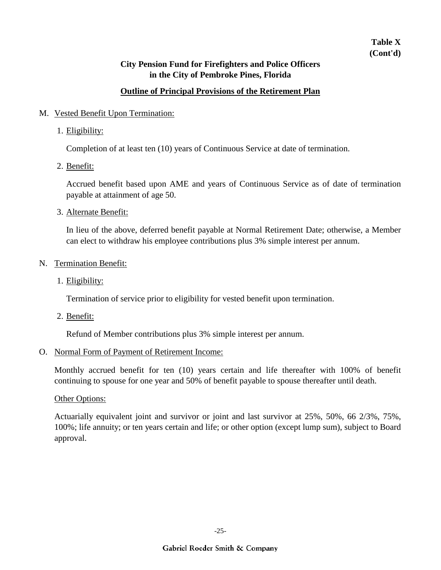## **Table X (Cont'd)**

### **City Pension Fund for Firefighters and Police Officers in the City of Pembroke Pines, Florida**

### **Outline of Principal Provisions of the Retirement Plan**

### M. Vested Benefit Upon Termination:

1. Eligibility:

Completion of at least ten (10) years of Continuous Service at date of termination.

2. Benefit:

Accrued benefit based upon AME and years of Continuous Service as of date of termination payable at attainment of age 50.

3. Alternate Benefit:

In lieu of the above, deferred benefit payable at Normal Retirement Date; otherwise, a Member can elect to withdraw his employee contributions plus 3% simple interest per annum.

#### N. Termination Benefit:

1. Eligibility:

Termination of service prior to eligibility for vested benefit upon termination.

2. Benefit:

Refund of Member contributions plus 3% simple interest per annum.

#### O. Normal Form of Payment of Retirement Income:

Monthly accrued benefit for ten (10) years certain and life thereafter with 100% of benefit continuing to spouse for one year and 50% of benefit payable to spouse thereafter until death.

#### Other Options:

Actuarially equivalent joint and survivor or joint and last survivor at 25%, 50%, 66 2/3%, 75%, 100%; life annuity; or ten years certain and life; or other option (except lump sum), subject to Board approval.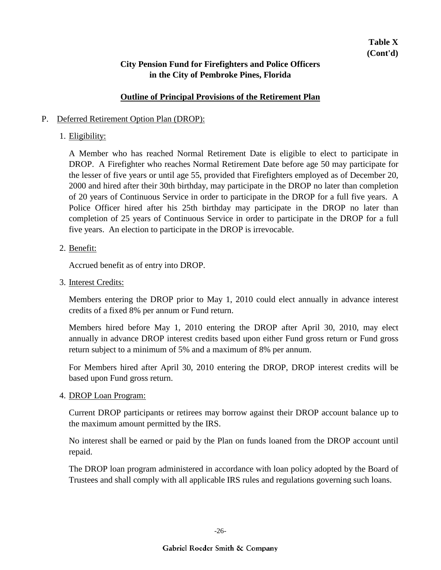#### **Outline of Principal Provisions of the Retirement Plan**

#### P. Deferred Retirement Option Plan (DROP):

### 1. Eligibility:

A Member who has reached Normal Retirement Date is eligible to elect to participate in DROP. A Firefighter who reaches Normal Retirement Date before age 50 may participate for the lesser of five years or until age 55, provided that Firefighters employed as of December 20, 2000 and hired after their 30th birthday, may participate in the DROP no later than completion of 20 years of Continuous Service in order to participate in the DROP for a full five years. A Police Officer hired after his 25th birthday may participate in the DROP no later than completion of 25 years of Continuous Service in order to participate in the DROP for a full five years. An election to participate in the DROP is irrevocable.

### 2. Benefit:

Accrued benefit as of entry into DROP.

3. Interest Credits:

Members entering the DROP prior to May 1, 2010 could elect annually in advance interest credits of a fixed 8% per annum or Fund return.

Members hired before May 1, 2010 entering the DROP after April 30, 2010, may elect annually in advance DROP interest credits based upon either Fund gross return or Fund gross return subject to a minimum of 5% and a maximum of 8% per annum.

For Members hired after April 30, 2010 entering the DROP, DROP interest credits will be based upon Fund gross return.

4. DROP Loan Program:

Current DROP participants or retirees may borrow against their DROP account balance up to the maximum amount permitted by the IRS.

No interest shall be earned or paid by the Plan on funds loaned from the DROP account until repaid.

The DROP loan program administered in accordance with loan policy adopted by the Board of Trustees and shall comply with all applicable IRS rules and regulations governing such loans.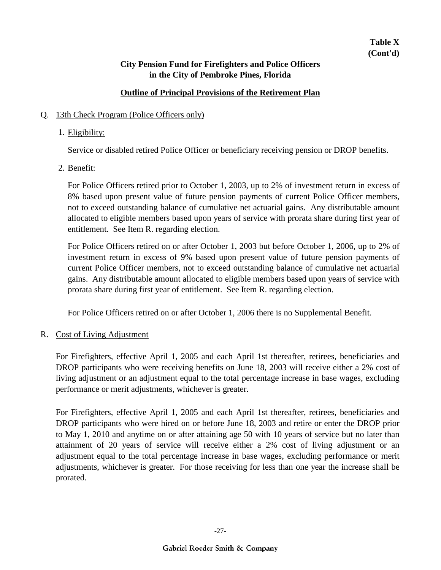### **Outline of Principal Provisions of the Retirement Plan**

### Q. 13th Check Program (Police Officers only)

### 1. Eligibility:

Service or disabled retired Police Officer or beneficiary receiving pension or DROP benefits.

### 2. <u>Benefit:</u>

For Police Officers retired prior to October 1, 2003, up to 2% of investment return in excess of 8% based upon present value of future pension payments of current Police Officer members, not to exceed outstanding balance of cumulative net actuarial gains. Any distributable amount allocated to eligible members based upon years of service with prorata share during first year of entitlement. See Item R. regarding election.

For Police Officers retired on or after October 1, 2003 but before October 1, 2006, up to 2% of investment return in excess of 9% based upon present value of future pension payments of current Police Officer members, not to exceed outstanding balance of cumulative net actuarial gains. Any distributable amount allocated to eligible members based upon years of service with prorata share during first year of entitlement. See Item R. regarding election.

For Police Officers retired on or after October 1, 2006 there is no Supplemental Benefit.

### R. Cost of Living Adjustment

For Firefighters, effective April 1, 2005 and each April 1st thereafter, retirees, beneficiaries and DROP participants who were receiving benefits on June 18, 2003 will receive either a 2% cost of living adjustment or an adjustment equal to the total percentage increase in base wages, excluding performance or merit adjustments, whichever is greater.

For Firefighters, effective April 1, 2005 and each April 1st thereafter, retirees, beneficiaries and DROP participants who were hired on or before June 18, 2003 and retire or enter the DROP prior to May 1, 2010 and anytime on or after attaining age 50 with 10 years of service but no later than attainment of 20 years of service will receive either a 2% cost of living adjustment or an adjustment equal to the total percentage increase in base wages, excluding performance or merit adjustments, whichever is greater. For those receiving for less than one year the increase shall be prorated.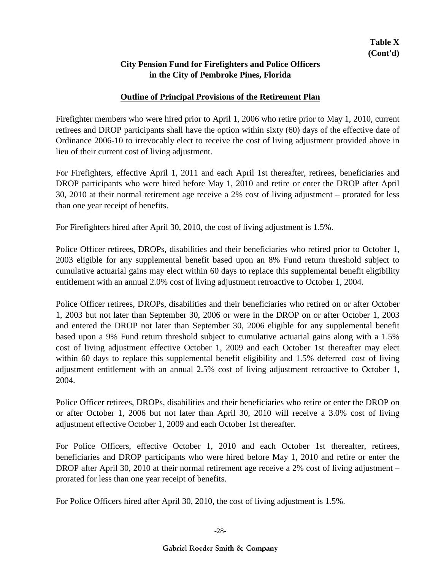### **Outline of Principal Provisions of the Retirement Plan**

Firefighter members who were hired prior to April 1, 2006 who retire prior to May 1, 2010, current retirees and DROP participants shall have the option within sixty (60) days of the effective date of Ordinance 2006-10 to irrevocably elect to receive the cost of living adjustment provided above in lieu of their current cost of living adjustment.

For Firefighters, effective April 1, 2011 and each April 1st thereafter, retirees, beneficiaries and DROP participants who were hired before May 1, 2010 and retire or enter the DROP after April 30, 2010 at their normal retirement age receive a 2% cost of living adjustment – prorated for less than one year receipt of benefits.

For Firefighters hired after April 30, 2010, the cost of living adjustment is 1.5%.

Police Officer retirees, DROPs, disabilities and their beneficiaries who retired prior to October 1, 2003 eligible for any supplemental benefit based upon an 8% Fund return threshold subject to cumulative actuarial gains may elect within 60 days to replace this supplemental benefit eligibility entitlement with an annual 2.0% cost of living adjustment retroactive to October 1, 2004.

Police Officer retirees, DROPs, disabilities and their beneficiaries who retired on or after October 1, 2003 but not later than September 30, 2006 or were in the DROP on or after October 1, 2003 and entered the DROP not later than September 30, 2006 eligible for any supplemental benefit based upon a 9% Fund return threshold subject to cumulative actuarial gains along with a 1.5% cost of living adjustment effective October 1, 2009 and each October 1st thereafter may elect within 60 days to replace this supplemental benefit eligibility and 1.5% deferred cost of living adjustment entitlement with an annual 2.5% cost of living adjustment retroactive to October 1, 2004.

Police Officer retirees, DROPs, disabilities and their beneficiaries who retire or enter the DROP on or after October 1, 2006 but not later than April 30, 2010 will receive a 3.0% cost of living adjustment effective October 1, 2009 and each October 1st thereafter.

For Police Officers, effective October 1, 2010 and each October 1st thereafter, retirees, beneficiaries and DROP participants who were hired before May 1, 2010 and retire or enter the DROP after April 30, 2010 at their normal retirement age receive a 2% cost of living adjustment – prorated for less than one year receipt of benefits.

For Police Officers hired after April 30, 2010, the cost of living adjustment is 1.5%.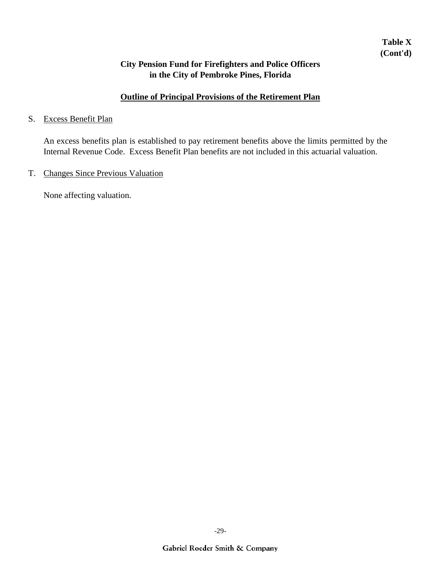## **Table X (Cont'd)**

### **City Pension Fund for Firefighters and Police Officers in the City of Pembroke Pines, Florida**

## **Outline of Principal Provisions of the Retirement Plan**

#### S. Excess Benefit Plan

An excess benefits plan is established to pay retirement benefits above the limits permitted by the Internal Revenue Code. Excess Benefit Plan benefits are not included in this actuarial valuation.

### T. Changes Since Previous Valuation

None affecting valuation.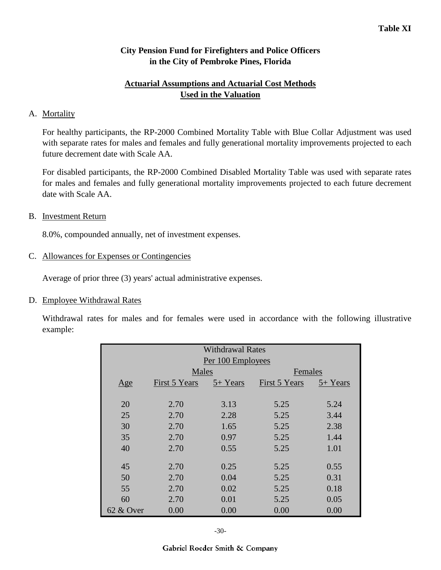### **Actuarial Assumptions and Actuarial Cost Methods Used in the Valuation**

### A. Mortality

For healthy participants, the RP-2000 Combined Mortality Table with Blue Collar Adjustment was used with separate rates for males and females and fully generational mortality improvements projected to each future decrement date with Scale AA.

For disabled participants, the RP-2000 Combined Disabled Mortality Table was used with separate rates for males and females and fully generational mortality improvements projected to each future decrement date with Scale AA.

#### B. Investment Return

8.0%, compounded annually, net of investment expenses.

#### C. Allowances for Expenses or Contingencies

Average of prior three (3) years' actual administrative expenses.

#### D. Employee Withdrawal Rates

Withdrawal rates for males and for females were used in accordance with the following illustrative example:

| <b>Withdrawal Rates</b><br>Per 100 Employees |               |          |               |          |
|----------------------------------------------|---------------|----------|---------------|----------|
|                                              | Males         |          | Females       |          |
| $\mathbf{Age}$                               | First 5 Years | 5+ Years | First 5 Years | 5+ Years |
|                                              |               |          |               |          |
| 20                                           | 2.70          | 3.13     | 5.25          | 5.24     |
| 25                                           | 2.70          | 2.28     | 5.25          | 3.44     |
| 30                                           | 2.70          | 1.65     | 5.25          | 2.38     |
| 35                                           | 2.70          | 0.97     | 5.25          | 1.44     |
| 40                                           | 2.70          | 0.55     | 5.25          | 1.01     |
|                                              |               |          |               |          |
| 45                                           | 2.70          | 0.25     | 5.25          | 0.55     |
| 50                                           | 2.70          | 0.04     | 5.25          | 0.31     |
| 55                                           | 2.70          | 0.02     | 5.25          | 0.18     |
| 60                                           | 2.70          | 0.01     | 5.25          | 0.05     |
| 62 & Over                                    | 0.00          | 0.00     | 0.00          | 0.00     |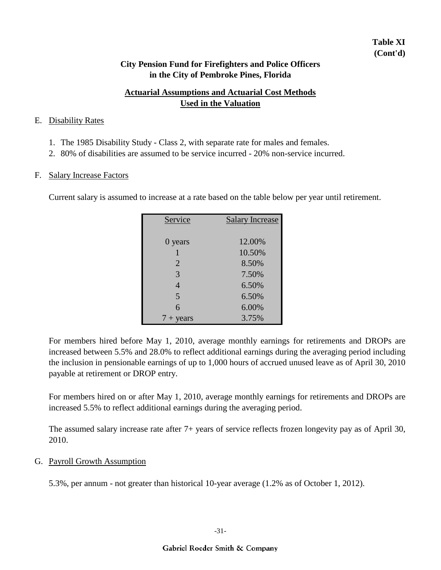## **Table XI (Cont'd)**

### **City Pension Fund for Firefighters and Police Officers in the City of Pembroke Pines, Florida**

## **Actuarial Assumptions and Actuarial Cost Methods Used in the Valuation**

#### E. Disability Rates

- 1. The 1985 Disability Study Class 2, with separate rate for males and females.
- 2. 80% of disabilities are assumed to be service incurred 20% non-service incurred.

#### F. Salary Increase Factors

Current salary is assumed to increase at a rate based on the table below per year until retirement.

| Service            | <b>Salary Increase</b> |
|--------------------|------------------------|
|                    |                        |
| 0 years            | 12.00%                 |
| 1                  | 10.50%                 |
| $\overline{2}$     | 8.50%                  |
| 3                  | 7.50%                  |
| $\overline{4}$     | 6.50%                  |
| 5                  | 6.50%                  |
| 6                  | 6.00%                  |
| $7 + \text{years}$ | 3.75%                  |

For members hired before May 1, 2010, average monthly earnings for retirements and DROPs are increased between 5.5% and 28.0% to reflect additional earnings during the averaging period including the inclusion in pensionable earnings of up to 1,000 hours of accrued unused leave as of April 30, 2010 payable at retirement or DROP entry.

For members hired on or after May 1, 2010, average monthly earnings for retirements and DROPs are increased 5.5% to reflect additional earnings during the averaging period.

The assumed salary increase rate after 7+ years of service reflects frozen longevity pay as of April 30, 2010.

### G. Payroll Growth Assumption

5.3%, per annum - not greater than historical 10-year average (1.2% as of October 1, 2012).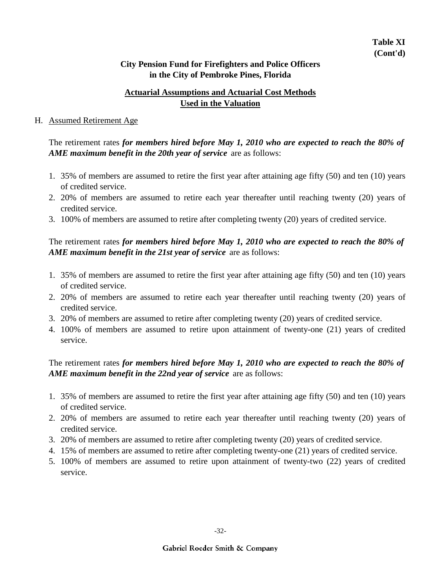### **Actuarial Assumptions and Actuarial Cost Methods Used in the Valuation**

#### H. Assumed Retirement Age

The retirement rates *for members hired before May 1, 2010 who are expected to reach the 80% of AME maximum benefit in the 20th year of service* are as follows:

- 1. 35% of members are assumed to retire the first year after attaining age fifty (50) and ten (10) years of credited service.
- 2. 20% of members are assumed to retire each year thereafter until reaching twenty (20) years of credited service.
- 3. 100% of members are assumed to retire after completing twenty (20) years of credited service.

## The retirement rates *for members hired before May 1, 2010 who are expected to reach the 80% of AME maximum benefit in the 21st year of service* are as follows:

- 1. 35% of members are assumed to retire the first year after attaining age fifty (50) and ten (10) years of credited service.
- 2. 20% of members are assumed to retire each year thereafter until reaching twenty (20) years of credited service.
- 3. 20% of members are assumed to retire after completing twenty (20) years of credited service.
- 4. 100% of members are assumed to retire upon attainment of twenty-one (21) years of credited service.

## The retirement rates *for members hired before May 1, 2010 who are expected to reach the 80% of AME maximum benefit in the 22nd year of service* are as follows:

- 1. 35% of members are assumed to retire the first year after attaining age fifty (50) and ten (10) years of credited service.
- 2. 20% of members are assumed to retire each year thereafter until reaching twenty (20) years of credited service.
- 3. 20% of members are assumed to retire after completing twenty (20) years of credited service.
- 4. 15% of members are assumed to retire after completing twenty-one (21) years of credited service.
- 5. 100% of members are assumed to retire upon attainment of twenty-two (22) years of credited service.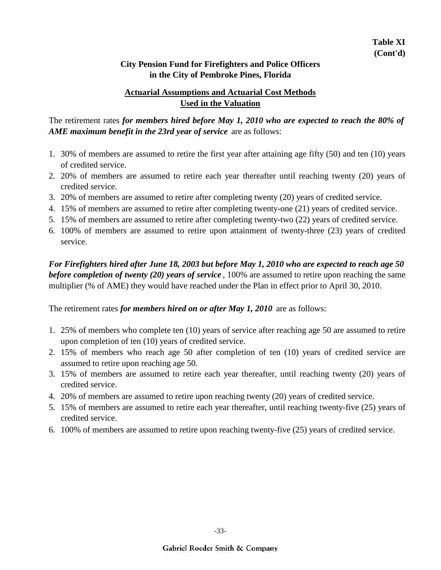### **Actuarial Assumptions and Actuarial Cost Methods Used in the Valuation**

The retirement rates *for members hired before May 1, 2010 who are expected to reach the 80% of AME maximum benefit in the 23rd year of service* are as follows:

- 1. 30% of members are assumed to retire the first year after attaining age fifty (50) and ten (10) years of credited service.
- 2. 20% of members are assumed to retire each year thereafter until reaching twenty (20) years of credited service.
- 3. 20% of members are assumed to retire after completing twenty (20) years of credited service.
- 4. 15% of members are assumed to retire after completing twenty-one (21) years of credited service.
- 5. 15% of members are assumed to retire after completing twenty-two (22) years of credited service.
- 6. 100% of members are assumed to retire upon attainment of twenty-three (23) years of credited service.

*For Firefighters hired after June 18, 2003 but before May 1, 2010 who are expected to reach age 50 before completion of twenty (20) years of service* , 100% are assumed to retire upon reaching the same multiplier (% of AME) they would have reached under the Plan in effect prior to April 30, 2010.

The retirement rates *for members hired on or after May 1, 2010* are as follows:

- 1. 25% of members who complete ten (10) years of service after reaching age 50 are assumed to retire upon completion of ten (10) years of credited service.
- 2. 15% of members who reach age 50 after completion of ten (10) years of credited service are assumed to retire upon reaching age 50.
- 3. 15% of members are assumed to retire each year thereafter, until reaching twenty (20) years of credited service.
- 4. 20% of members are assumed to retire upon reaching twenty (20) years of credited service.
- 5. 15% of members are assumed to retire each year thereafter, until reaching twenty-five (25) years of credited service.
- 6. 100% of members are assumed to retire upon reaching twenty-five (25) years of credited service.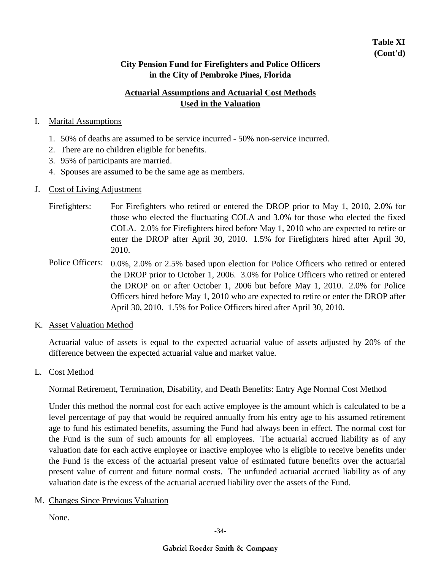## **Table XI (Cont'd)**

### **City Pension Fund for Firefighters and Police Officers in the City of Pembroke Pines, Florida**

## **Actuarial Assumptions and Actuarial Cost Methods Used in the Valuation**

### I. Marital Assumptions

- 1. 50% of deaths are assumed to be service incurred 50% non-service incurred.
- 2. There are no children eligible for benefits.
- 3. 95% of participants are married.
- 4. Spouses are assumed to be the same age as members.

### J. Cost of Living Adjustment

- For Firefighters who retired or entered the DROP prior to May 1, 2010, 2.0% for those who elected the fluctuating COLA and 3.0% for those who elected the fixed COLA. 2.0% for Firefighters hired before May 1, 2010 who are expected to retire or enter the DROP after April 30, 2010. 1.5% for Firefighters hired after April 30, 2010. Firefighters:
- Police Officers: 0.0%, 2.0% or 2.5% based upon election for Police Officers who retired or entered the DROP prior to October 1, 2006. 3.0% for Police Officers who retired or entered the DROP on or after October 1, 2006 but before May 1, 2010. 2.0% for Police Officers hired before May 1, 2010 who are expected to retire or enter the DROP after April 30, 2010. 1.5% for Police Officers hired after April 30, 2010.
- K. Asset Valuation Method

Actuarial value of assets is equal to the expected actuarial value of assets adjusted by 20% of the difference between the expected actuarial value and market value.

L. Cost Method

Normal Retirement, Termination, Disability, and Death Benefits: Entry Age Normal Cost Method

Under this method the normal cost for each active employee is the amount which is calculated to be a level percentage of pay that would be required annually from his entry age to his assumed retirement age to fund his estimated benefits, assuming the Fund had always been in effect. The normal cost for the Fund is the sum of such amounts for all employees. The actuarial accrued liability as of any valuation date for each active employee or inactive employee who is eligible to receive benefits under the Fund is the excess of the actuarial present value of estimated future benefits over the actuarial present value of current and future normal costs. The unfunded actuarial accrued liability as of any valuation date is the excess of the actuarial accrued liability over the assets of the Fund.

M. Changes Since Previous Valuation

None.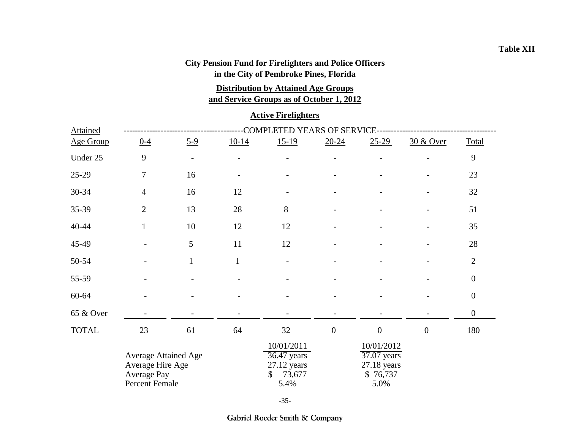# **City Pension Fund for Firefighters and Police Officers**

**in the City of Pembroke Pines, Florida**

### **and Service Groups as of October 1, 2012 Distribution by Attained Age Groups**

### **Active Firefighters**

| <b>Attained</b>  | COMPLETED YEARS OF SERVICE-                                                      |                          |              |                                                                      |                                      |                                                                |                      |                  |  |  |
|------------------|----------------------------------------------------------------------------------|--------------------------|--------------|----------------------------------------------------------------------|--------------------------------------|----------------------------------------------------------------|----------------------|------------------|--|--|
| <b>Age Group</b> | $0 - 4$                                                                          | $5-9$                    | $10-14$      | $15-19$                                                              | $20 - 24$                            | $25-29$                                                        | <u>30 &amp; Over</u> | Total            |  |  |
| Under 25         | 9                                                                                | $\overline{\phantom{a}}$ |              |                                                                      |                                      |                                                                |                      | 9                |  |  |
| 25-29            | $\overline{7}$                                                                   | 16                       |              |                                                                      |                                      |                                                                |                      | 23               |  |  |
| 30-34            | $\overline{4}$                                                                   | 16                       | 12           |                                                                      |                                      |                                                                |                      | 32               |  |  |
| 35-39            | $\overline{2}$                                                                   | 13                       | 28           | 8                                                                    |                                      |                                                                |                      | 51               |  |  |
| 40-44            | $\mathbf{1}$                                                                     | 10                       | 12           | 12                                                                   |                                      |                                                                |                      | 35               |  |  |
| 45-49            |                                                                                  | 5                        | 11           | 12                                                                   |                                      |                                                                |                      | $28\,$           |  |  |
| 50-54            |                                                                                  | $\mathbf{1}$             | $\mathbf{1}$ |                                                                      |                                      |                                                                |                      | $\mathbf{2}$     |  |  |
| 55-59            |                                                                                  |                          |              |                                                                      |                                      |                                                                |                      | $\boldsymbol{0}$ |  |  |
| 60-64            |                                                                                  |                          |              |                                                                      |                                      |                                                                |                      | $\boldsymbol{0}$ |  |  |
| 65 & Over        |                                                                                  |                          |              |                                                                      |                                      |                                                                |                      | $\boldsymbol{0}$ |  |  |
| <b>TOTAL</b>     | 23                                                                               | 61                       | 64           | 32                                                                   | $\boldsymbol{0}$<br>$\boldsymbol{0}$ |                                                                | $\mathbf{0}$         | 180              |  |  |
|                  | <b>Average Attained Age</b><br>Average Hire Age<br>Average Pay<br>Percent Female |                          |              | 10/01/2011<br>$36.47$ years<br>$27.12$ years<br>73,677<br>\$<br>5.4% |                                      | 10/01/2012<br>37.07 years<br>$27.18$ years<br>\$76,737<br>5.0% |                      |                  |  |  |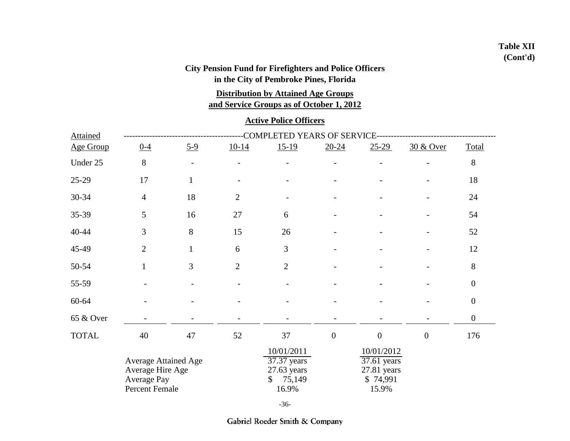## **Table XII (Cont'd)**

## **City Pension Fund for Firefighters and Police Officers in the City of Pembroke Pines, Florida**

**Distribution by Attained Age Groups**

**and Service Groups as of October 1, 2012**

#### **Active Police Officers**

| Attained         | COMPLETED YEARS OF SERVICE-                                                      |              |                |                                                                                 |                  |                                                                 |                      |                  |  |  |
|------------------|----------------------------------------------------------------------------------|--------------|----------------|---------------------------------------------------------------------------------|------------------|-----------------------------------------------------------------|----------------------|------------------|--|--|
| <b>Age Group</b> | $0 - 4$                                                                          | $5-9$        | $10-14$        | $15-19$                                                                         | $20 - 24$        | $25-29$                                                         | <u>30 &amp; Over</u> | Total            |  |  |
| Under 25         | 8                                                                                |              |                |                                                                                 |                  |                                                                 |                      | $8\,$            |  |  |
| 25-29            | 17                                                                               | $\mathbf{1}$ |                |                                                                                 |                  |                                                                 |                      | 18               |  |  |
| $30 - 34$        | $\overline{4}$                                                                   | 18           | $\overline{2}$ |                                                                                 |                  |                                                                 |                      | 24               |  |  |
| 35-39            | 5                                                                                | 16           | 27             | 6                                                                               |                  |                                                                 |                      | 54               |  |  |
| $40 - 44$        | 3                                                                                | 8            | 15             | 26                                                                              |                  |                                                                 |                      | 52               |  |  |
| 45-49            | $\overline{2}$                                                                   | $\mathbf{1}$ | 6              | 3                                                                               |                  |                                                                 |                      | 12               |  |  |
| 50-54            | $\mathbf{1}$                                                                     | 3            | $\overline{2}$ | $\overline{2}$                                                                  |                  |                                                                 |                      | $8\,$            |  |  |
| 55-59            |                                                                                  |              |                |                                                                                 |                  |                                                                 |                      | $\boldsymbol{0}$ |  |  |
| 60-64            |                                                                                  |              |                |                                                                                 |                  |                                                                 |                      | $\boldsymbol{0}$ |  |  |
| 65 & Over        |                                                                                  |              |                |                                                                                 |                  |                                                                 |                      | $\boldsymbol{0}$ |  |  |
| <b>TOTAL</b>     | 40                                                                               | 47           | 52             | 37                                                                              | $\boldsymbol{0}$ | $\boldsymbol{0}$                                                | $\boldsymbol{0}$     | 176              |  |  |
|                  | <b>Average Attained Age</b><br>Average Hire Age<br>Average Pay<br>Percent Female |              |                | 10/01/2011<br>$37.37$ years<br>$27.63$ years<br>75,149<br>$\mathbb{S}$<br>16.9% |                  | 10/01/2012<br>37.61 years<br>$27.81$ years<br>\$74,991<br>15.9% |                      |                  |  |  |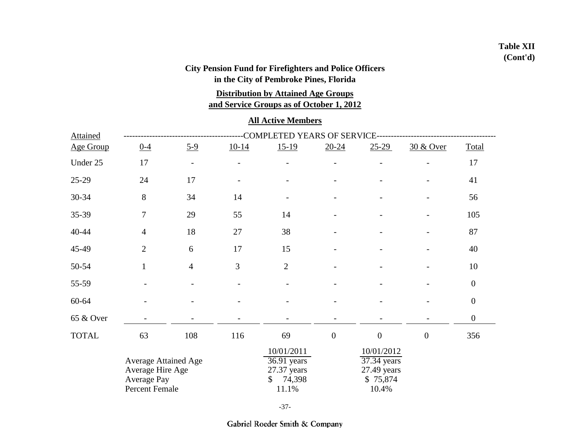## **Table XII (Cont'd)**

## **City Pension Fund for Firefighters and Police Officers in the City of Pembroke Pines, Florida**

**Distribution by Attained Age Groups**

**and Service Groups as of October 1, 2012**

### **All Active Members**

| Attained     | COMPLETED YEARS OF SERVICE-                                                      |                          |         |                                                                     |                  |                                                               |                  |                  |  |  |  |
|--------------|----------------------------------------------------------------------------------|--------------------------|---------|---------------------------------------------------------------------|------------------|---------------------------------------------------------------|------------------|------------------|--|--|--|
| Age Group    | $0 - 4$                                                                          | $5-9$                    | $10-14$ | $15-19$                                                             | $20 - 24$        | $25-29$                                                       | 30 & Over        | Total            |  |  |  |
| Under 25     | 17                                                                               | $\overline{\phantom{a}}$ |         |                                                                     |                  |                                                               |                  | 17               |  |  |  |
| 25-29        | 24                                                                               | 17                       |         |                                                                     |                  |                                                               |                  | 41               |  |  |  |
| 30-34        | 8                                                                                | 34                       | 14      |                                                                     |                  |                                                               |                  | 56               |  |  |  |
| 35-39        | $\tau$                                                                           | 29                       | 55      | 14                                                                  |                  |                                                               |                  | 105              |  |  |  |
| $40 - 44$    | $\overline{4}$                                                                   | 18                       | 27      | 38                                                                  |                  |                                                               |                  | 87               |  |  |  |
| 45-49        | $\overline{2}$                                                                   | 6                        | 17      | 15                                                                  |                  |                                                               |                  | 40               |  |  |  |
| 50-54        | $\mathbf{1}$                                                                     | $\overline{4}$           | 3       | $\overline{2}$                                                      |                  |                                                               |                  | 10               |  |  |  |
| 55-59        |                                                                                  |                          |         |                                                                     |                  |                                                               |                  | $\boldsymbol{0}$ |  |  |  |
| 60-64        |                                                                                  |                          |         |                                                                     |                  |                                                               |                  | $\boldsymbol{0}$ |  |  |  |
| 65 & Over    |                                                                                  |                          |         |                                                                     |                  |                                                               |                  | $\boldsymbol{0}$ |  |  |  |
| <b>TOTAL</b> | 63                                                                               | 108                      | 116     | 69                                                                  | $\boldsymbol{0}$ | $\boldsymbol{0}$                                              | $\boldsymbol{0}$ | 356              |  |  |  |
|              | <b>Average Attained Age</b><br>Average Hire Age<br>Average Pay<br>Percent Female |                          |         | 10/01/2011<br>$36.91$ years<br>27.37 years<br>74,398<br>S.<br>11.1% |                  | 10/01/2012<br>37.34 years<br>27.49 years<br>\$75,874<br>10.4% |                  |                  |  |  |  |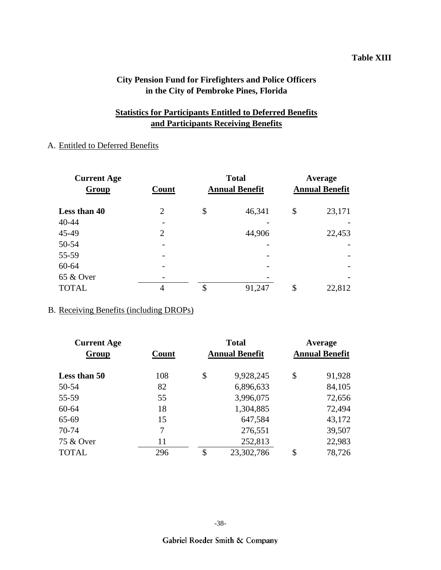#### **Table XIII**

### **City Pension Fund for Firefighters and Police Officers in the City of Pembroke Pines, Florida**

### **Statistics for Participants Entitled to Deferred Benefits and Participants Receiving Benefits**

## A. Entitled to Deferred Benefits

| <b>Current Age</b><br><b>Group</b> | Count          | <b>Total</b><br><b>Annual Benefit</b> | Average<br><b>Annual Benefit</b> |        |  |
|------------------------------------|----------------|---------------------------------------|----------------------------------|--------|--|
| Less than 40                       | $\overline{2}$ | \$<br>46,341                          | \$                               | 23,171 |  |
| 40-44                              |                |                                       |                                  |        |  |
| 45-49                              | $\overline{2}$ | 44,906                                |                                  | 22,453 |  |
| 50-54                              |                |                                       |                                  |        |  |
| 55-59                              |                |                                       |                                  |        |  |
| 60-64                              |                |                                       |                                  |        |  |
| 65 & Over                          |                |                                       |                                  |        |  |
| <b>TOTAL</b>                       | 4              | \$<br>91,247                          | \$                               | 22,812 |  |

### B. Receiving Benefits (including DROPs)

| <b>Current Age</b><br>Group | Count | <b>Total</b><br><b>Annual Benefit</b> | Average<br><b>Annual Benefit</b> |        |  |
|-----------------------------|-------|---------------------------------------|----------------------------------|--------|--|
| Less than 50                | 108   | \$<br>9,928,245                       | \$                               | 91,928 |  |
| 50-54                       | 82    | 6,896,633                             |                                  | 84,105 |  |
| 55-59                       | 55    | 3,996,075                             |                                  | 72,656 |  |
| 60-64                       | 18    | 1,304,885                             |                                  | 72,494 |  |
| 65-69                       | 15    | 647,584                               |                                  | 43,172 |  |
| 70-74                       | 7     | 276,551                               |                                  | 39,507 |  |
| 75 & Over                   | 11    | 252,813                               |                                  | 22,983 |  |
| <b>TOTAL</b>                | 296   | \$<br>23,302,786                      | \$                               | 78,726 |  |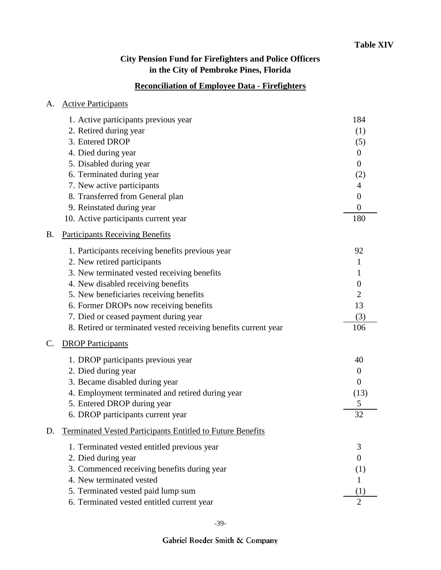## **Reconciliation of Employee Data - Firefighters**

| A.        | <b>Active Participants</b>                                        |                  |
|-----------|-------------------------------------------------------------------|------------------|
|           | 1. Active participants previous year                              | 184              |
|           | 2. Retired during year                                            | (1)              |
|           | 3. Entered DROP                                                   | (5)              |
|           | 4. Died during year                                               | $\boldsymbol{0}$ |
|           | 5. Disabled during year                                           | $\boldsymbol{0}$ |
|           | 6. Terminated during year                                         | (2)              |
|           | 7. New active participants                                        | 4                |
|           | 8. Transferred from General plan                                  | $\boldsymbol{0}$ |
|           | 9. Reinstated during year                                         | $\overline{0}$   |
|           | 10. Active participants current year                              | 180              |
| <b>B.</b> | <b>Participants Receiving Benefits</b>                            |                  |
|           | 1. Participants receiving benefits previous year                  | 92               |
|           | 2. New retired participants                                       | 1                |
|           | 3. New terminated vested receiving benefits                       | 1                |
|           | 4. New disabled receiving benefits                                | 0                |
|           | 5. New beneficiaries receiving benefits                           | $\overline{2}$   |
|           | 6. Former DROPs now receiving benefits                            | 13               |
|           | 7. Died or ceased payment during year                             | (3)              |
|           | 8. Retired or terminated vested receiving benefits current year   | 106              |
| C.        | <b>DROP Participants</b>                                          |                  |
|           | 1. DROP participants previous year                                | 40               |
|           | 2. Died during year                                               | $\boldsymbol{0}$ |
|           | 3. Became disabled during year                                    | $\overline{0}$   |
|           | 4. Employment terminated and retired during year                  | (13)             |
|           | 5. Entered DROP during year                                       | 5                |
|           | 6. DROP participants current year                                 | 32               |
| D.        | <b>Terminated Vested Participants Entitled to Future Benefits</b> |                  |
|           | 1. Terminated vested entitled previous year                       | 3                |
|           | 2. Died during year                                               | 0                |
|           | 3. Commenced receiving benefits during year                       | (1)              |
|           | 4. New terminated vested                                          |                  |
|           | 5. Terminated vested paid lump sum                                | (1)              |
|           | 6. Terminated vested entitled current year                        | $\mathcal{D}$    |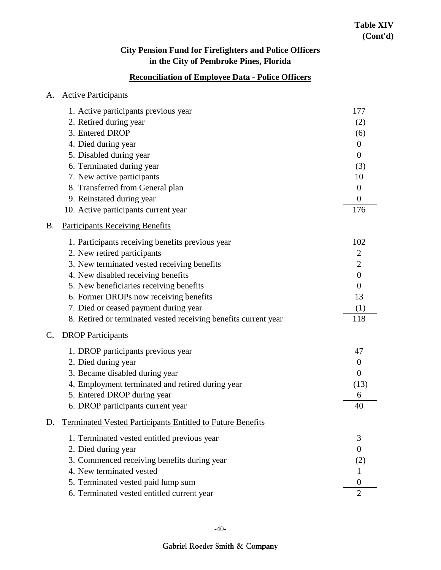## **Reconciliation of Employee Data - Police Officers**

| А.        | <b>Active Participants</b>                                      |                  |
|-----------|-----------------------------------------------------------------|------------------|
|           | 1. Active participants previous year                            | 177              |
|           | 2. Retired during year                                          | (2)              |
|           | 3. Entered DROP                                                 | (6)              |
|           | 4. Died during year                                             | $\theta$         |
|           | 5. Disabled during year                                         | $\theta$         |
|           | 6. Terminated during year                                       | (3)              |
|           | 7. New active participants                                      | 10               |
|           | 8. Transferred from General plan                                | $\theta$         |
|           | 9. Reinstated during year                                       | $\theta$         |
|           | 10. Active participants current year                            | 176              |
| <b>B.</b> | <b>Participants Receiving Benefits</b>                          |                  |
|           | 1. Participants receiving benefits previous year                | 102              |
|           | 2. New retired participants                                     | $\overline{2}$   |
|           | 3. New terminated vested receiving benefits                     | $\overline{2}$   |
|           | 4. New disabled receiving benefits                              | $\boldsymbol{0}$ |
|           | 5. New beneficiaries receiving benefits                         | $\theta$         |
|           | 6. Former DROPs now receiving benefits                          | 13               |
|           | 7. Died or ceased payment during year                           | (1)              |
|           | 8. Retired or terminated vested receiving benefits current year | 118              |
| C.        | <b>DROP</b> Participants                                        |                  |
|           | 1. DROP participants previous year                              | 47               |
|           | 2. Died during year                                             | $\theta$         |
|           | 3. Became disabled during year                                  | $\theta$         |
|           | 4. Employment terminated and retired during year                | (13)             |
|           | 5. Entered DROP during year                                     | 6                |
|           | 6. DROP participants current year                               | 40               |
| D.        | Terminated Vested Participants Entitled to Future Benefits      |                  |
|           | 1. Terminated vested entitled previous year                     | 3                |
|           | 2. Died during year                                             | $\overline{0}$   |
|           | 3. Commenced receiving benefits during year                     | (2)              |
|           | 4. New terminated vested                                        |                  |
|           | 5. Terminated vested paid lump sum                              | $\theta$         |
|           | 6. Terminated vested entitled current year                      | $\overline{2}$   |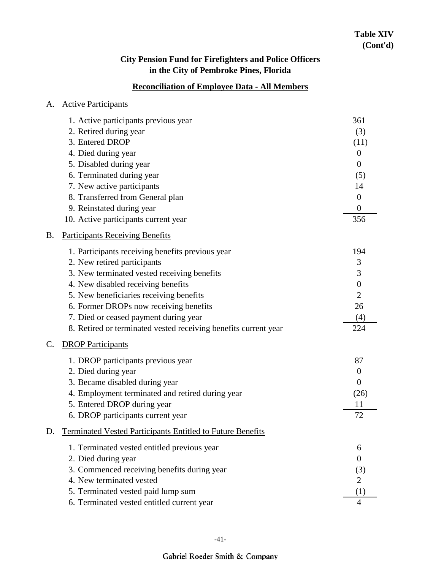## **Reconciliation of Employee Data - All Members**

| A. | <b>Active Participants</b>                                        |                  |
|----|-------------------------------------------------------------------|------------------|
|    | 1. Active participants previous year                              | 361              |
|    | 2. Retired during year                                            | (3)              |
|    | 3. Entered DROP                                                   | (11)             |
|    | 4. Died during year                                               | $\overline{0}$   |
|    | 5. Disabled during year                                           | $\theta$         |
|    | 6. Terminated during year                                         | (5)              |
|    | 7. New active participants                                        | 14               |
|    | 8. Transferred from General plan                                  | $\theta$         |
|    | 9. Reinstated during year                                         | $\boldsymbol{0}$ |
|    | 10. Active participants current year                              | 356              |
| Β. | <b>Participants Receiving Benefits</b>                            |                  |
|    | 1. Participants receiving benefits previous year                  | 194              |
|    | 2. New retired participants                                       | 3                |
|    | 3. New terminated vested receiving benefits                       | 3                |
|    | 4. New disabled receiving benefits                                | $\boldsymbol{0}$ |
|    | 5. New beneficiaries receiving benefits                           | $\overline{2}$   |
|    | 6. Former DROPs now receiving benefits                            | 26               |
|    | 7. Died or ceased payment during year                             | (4)              |
|    | 8. Retired or terminated vested receiving benefits current year   | 224              |
| C. | <b>DROP Participants</b>                                          |                  |
|    | 1. DROP participants previous year                                | 87               |
|    | 2. Died during year                                               | $\theta$         |
|    | 3. Became disabled during year                                    | $\theta$         |
|    | 4. Employment terminated and retired during year                  | (26)             |
|    | 5. Entered DROP during year                                       | 11               |
|    | 6. DROP participants current year                                 | 72               |
| D. | <b>Terminated Vested Participants Entitled to Future Benefits</b> |                  |
|    | 1. Terminated vested entitled previous year                       | 6                |
|    | 2. Died during year                                               | $\overline{0}$   |
|    | 3. Commenced receiving benefits during year                       | (3)              |
|    | 4. New terminated vested                                          | 2                |
|    | 5. Terminated vested paid lump sum                                | (1)              |
|    | 6. Terminated vested entitled current year                        | $\overline{4}$   |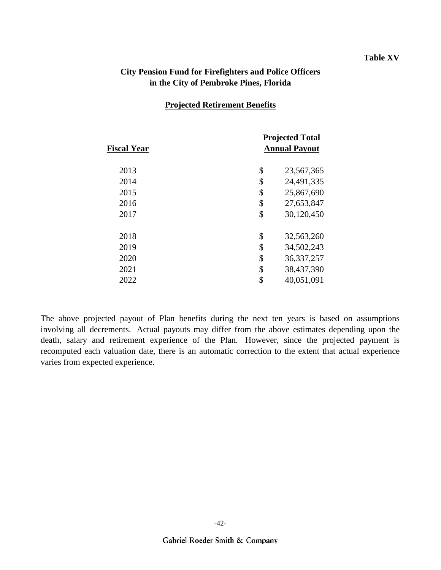#### **Table XV**

### **City Pension Fund for Firefighters and Police Officers in the City of Pembroke Pines, Florida**

#### **Projected Retirement Benefits**

| <b>Fiscal Year</b> | <b>Projected Total</b><br><b>Annual Payout</b> |              |  |  |  |
|--------------------|------------------------------------------------|--------------|--|--|--|
| 2013               | \$                                             | 23,567,365   |  |  |  |
| 2014               | \$                                             | 24,491,335   |  |  |  |
| 2015               | \$                                             | 25,867,690   |  |  |  |
| 2016               | \$                                             | 27,653,847   |  |  |  |
| 2017               | \$                                             | 30,120,450   |  |  |  |
| 2018               | \$                                             | 32,563,260   |  |  |  |
| 2019               | \$                                             | 34,502,243   |  |  |  |
| 2020               | \$                                             | 36, 337, 257 |  |  |  |
| 2021               | \$                                             | 38,437,390   |  |  |  |
| 2022               | \$                                             | 40,051,091   |  |  |  |
|                    |                                                |              |  |  |  |

The above projected payout of Plan benefits during the next ten years is based on assumptions involving all decrements. Actual payouts may differ from the above estimates depending upon the death, salary and retirement experience of the Plan. However, since the projected payment is recomputed each valuation date, there is an automatic correction to the extent that actual experience varies from expected experience.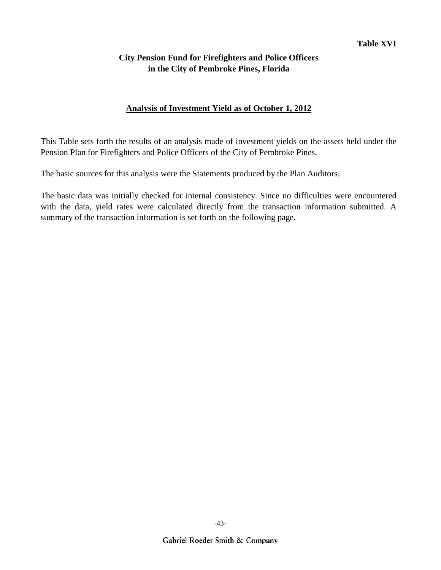### **Analysis of Investment Yield as of October 1, 2012**

This Table sets forth the results of an analysis made of investment yields on the assets held under the Pension Plan for Firefighters and Police Officers of the City of Pembroke Pines.

The basic sources for this analysis were the Statements produced by the Plan Auditors.

The basic data was initially checked for internal consistency. Since no difficulties were encountered with the data, yield rates were calculated directly from the transaction information submitted. A summary of the transaction information is set forth on the following page.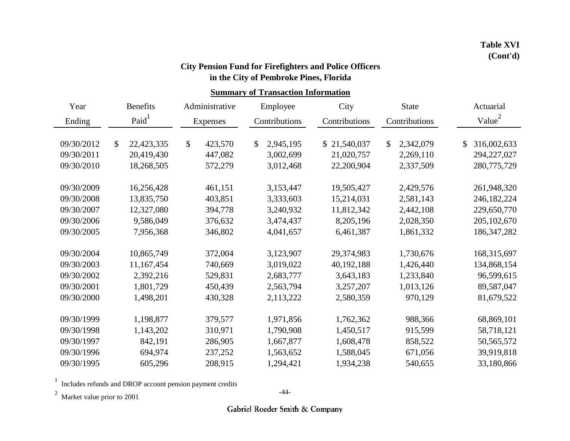## **in the City of Pembroke Pines, Florida City Pension Fund for Firefighters and Police Officers**

## **Summary of Transaction Information**

| Year       | <b>Benefits</b> |            | Administrative |               | Employee  | City          |               | <b>State</b> | Actuarial |                    |
|------------|-----------------|------------|----------------|---------------|-----------|---------------|---------------|--------------|-----------|--------------------|
| Ending     | Paid            |            | Expenses       | Contributions |           | Contributions | Contributions |              |           | Value <sup>2</sup> |
|            |                 |            |                |               |           |               |               |              |           |                    |
| 09/30/2012 | \$              | 22,423,335 | \$<br>423,570  | \$            | 2,945,195 | \$21,540,037  | \$            | 2,342,079    | \$        | 316,002,633        |
| 09/30/2011 |                 | 20,419,430 | 447,082        |               | 3,002,699 | 21,020,757    |               | 2,269,110    |           | 294,227,027        |
| 09/30/2010 |                 | 18,268,505 | 572,279        |               | 3,012,468 | 22,200,904    |               | 2,337,509    |           | 280,775,729        |
| 09/30/2009 |                 | 16,256,428 | 461,151        |               | 3,153,447 | 19,505,427    |               | 2,429,576    |           | 261,948,320        |
| 09/30/2008 |                 | 13,835,750 | 403,851        |               | 3,333,603 | 15,214,031    |               | 2,581,143    |           | 246, 182, 224      |
| 09/30/2007 |                 | 12,327,080 | 394,778        |               | 3,240,932 | 11,812,342    |               | 2,442,108    |           | 229,650,770        |
| 09/30/2006 |                 | 9,586,049  | 376,632        |               | 3,474,437 | 8,205,196     |               | 2,028,350    |           | 205, 102, 670      |
| 09/30/2005 |                 | 7,956,368  | 346,802        |               | 4,041,657 | 6,461,387     |               | 1,861,332    |           | 186, 347, 282      |
| 09/30/2004 |                 | 10,865,749 | 372,004        |               | 3,123,907 | 29,374,983    |               | 1,730,676    |           | 168,315,697        |
| 09/30/2003 |                 | 11,167,454 | 740,669        |               | 3,019,022 | 40, 192, 188  |               | 1,426,440    |           | 134,868,154        |
| 09/30/2002 |                 | 2,392,216  | 529,831        |               | 2,683,777 | 3,643,183     |               | 1,233,840    |           | 96,599,615         |
| 09/30/2001 |                 | 1,801,729  | 450,439        |               | 2,563,794 | 3,257,207     |               | 1,013,126    |           | 89,587,047         |
| 09/30/2000 |                 | 1,498,201  | 430,328        |               | 2,113,222 | 2,580,359     |               | 970,129      |           | 81,679,522         |
| 09/30/1999 |                 | 1,198,877  | 379,577        |               | 1,971,856 | 1,762,362     |               | 988,366      |           | 68,869,101         |
| 09/30/1998 |                 | 1,143,202  | 310,971        |               | 1,790,908 | 1,450,517     |               | 915,599      |           | 58,718,121         |
| 09/30/1997 |                 | 842,191    | 286,905        |               | 1,667,877 | 1,608,478     |               | 858,522      |           | 50, 565, 572       |
| 09/30/1996 |                 | 694,974    | 237,252        |               | 1,563,652 | 1,588,045     |               | 671,056      |           | 39,919,818         |
| 09/30/1995 |                 | 605,296    | 208,915        |               | 1,294,421 | 1,934,238     |               | 540,655      |           | 33,180,866         |

1 Includes refunds and DROP account pension payment credits

 $2$  Market value prior to 2001

-44-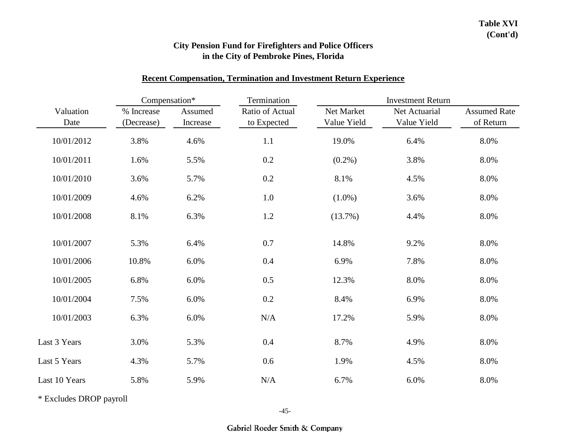### **Recent Compensation, Termination and Investment Return Experience**

|                   | Compensation*            |                     | Termination                    | <b>Investment Return</b>  |                              |                                  |  |  |
|-------------------|--------------------------|---------------------|--------------------------------|---------------------------|------------------------------|----------------------------------|--|--|
| Valuation<br>Date | % Increase<br>(Decrease) | Assumed<br>Increase | Ratio of Actual<br>to Expected | Net Market<br>Value Yield | Net Actuarial<br>Value Yield | <b>Assumed Rate</b><br>of Return |  |  |
| 10/01/2012        | 3.8%                     | 4.6%                | 1.1                            | 19.0%                     | 6.4%                         | 8.0%                             |  |  |
| 10/01/2011        | 1.6%                     | 5.5%                | 0.2                            | $(0.2\%)$                 | 3.8%                         | 8.0%                             |  |  |
| 10/01/2010        | 3.6%                     | 5.7%                | 0.2                            | 8.1%                      | 4.5%                         | 8.0%                             |  |  |
| 10/01/2009        | 4.6%                     | 6.2%                | 1.0                            | $(1.0\%)$                 | 3.6%                         | 8.0%                             |  |  |
| 10/01/2008        | 8.1%                     | 6.3%                | 1.2                            | (13.7%)                   | 4.4%                         | 8.0%                             |  |  |
| 10/01/2007        | 5.3%                     | 6.4%                | 0.7                            | 14.8%                     | 9.2%                         | 8.0%                             |  |  |
| 10/01/2006        | 10.8%                    | 6.0%                | 0.4                            | 6.9%                      | 7.8%                         | 8.0%                             |  |  |
| 10/01/2005        | 6.8%                     | 6.0%                | 0.5                            | 12.3%                     | 8.0%                         | 8.0%                             |  |  |
| 10/01/2004        | 7.5%                     | 6.0%                | 0.2                            | 8.4%                      | 6.9%                         | 8.0%                             |  |  |
| 10/01/2003        | 6.3%                     | 6.0%                | N/A                            | 17.2%                     | 5.9%                         | 8.0%                             |  |  |
| Last 3 Years      | 3.0%                     | 5.3%                | 0.4                            | 8.7%                      | 4.9%                         | 8.0%                             |  |  |
| Last 5 Years      | 4.3%                     | 5.7%                | 0.6                            | 1.9%                      | 4.5%                         | 8.0%                             |  |  |
| Last 10 Years     | 5.8%                     | 5.9%                | N/A                            | 6.7%                      | 6.0%                         | 8.0%                             |  |  |

\* Excludes DROP payroll

-45-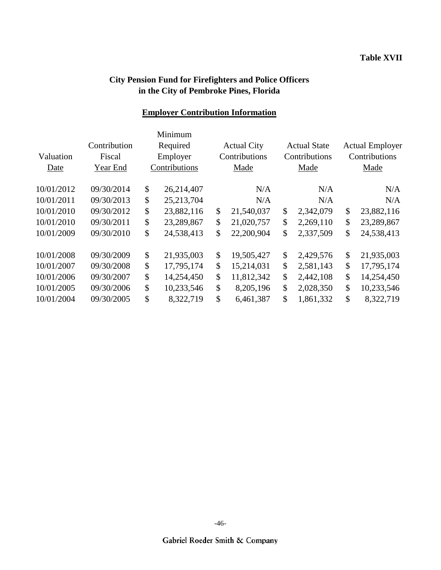## **Employer Contribution Information**

|            |              |          | Minimum      |    |                    |                     |               |                        |      |  |
|------------|--------------|----------|--------------|----|--------------------|---------------------|---------------|------------------------|------|--|
|            | Contribution |          | Required     |    | <b>Actual City</b> | <b>Actual State</b> |               | <b>Actual Employer</b> |      |  |
| Valuation  | Fiscal       | Employer |              |    | Contributions      | Contributions       |               | Contributions          |      |  |
| Date       | Year End     |          |              |    | Contributions      |                     |               | Made                   | Made |  |
| 10/01/2012 | 09/30/2014   | \$       | 26,214,407   |    | N/A                | N/A                 |               | N/A                    |      |  |
| 10/01/2011 | 09/30/2013   | \$       | 25, 213, 704 |    | N/A                | N/A                 |               | N/A                    |      |  |
| 10/01/2010 | 09/30/2012   | \$       | 23,882,116   | \$ | 21,540,037         | \$<br>2,342,079     | \$            | 23,882,116             |      |  |
| 10/01/2010 | 09/30/2011   | \$       | 23,289,867   | \$ | 21,020,757         | \$<br>2,269,110     | \$            | 23,289,867             |      |  |
| 10/01/2009 | 09/30/2010   | \$       | 24,538,413   | \$ | 22,200,904         | \$<br>2,337,509     | \$            | 24,538,413             |      |  |
| 10/01/2008 | 09/30/2009   | \$       | 21,935,003   | \$ | 19,505,427         | \$<br>2,429,576     | \$            | 21,935,003             |      |  |
| 10/01/2007 | 09/30/2008   | \$       | 17,795,174   | \$ | 15,214,031         | \$<br>2,581,143     | \$            | 17,795,174             |      |  |
| 10/01/2006 | 09/30/2007   | \$       | 14,254,450   | \$ | 11,812,342         | \$<br>2,442,108     | \$            | 14,254,450             |      |  |
| 10/01/2005 | 09/30/2006   | \$       | 10,233,546   | \$ | 8,205,196          | \$<br>2,028,350     | \$            | 10,233,546             |      |  |
| 10/01/2004 | 09/30/2005   | \$       | 8,322,719    | \$ | 6,461,387          | \$<br>1,861,332     | $\mathcal{S}$ | 8,322,719              |      |  |
|            |              |          |              |    |                    |                     |               |                        |      |  |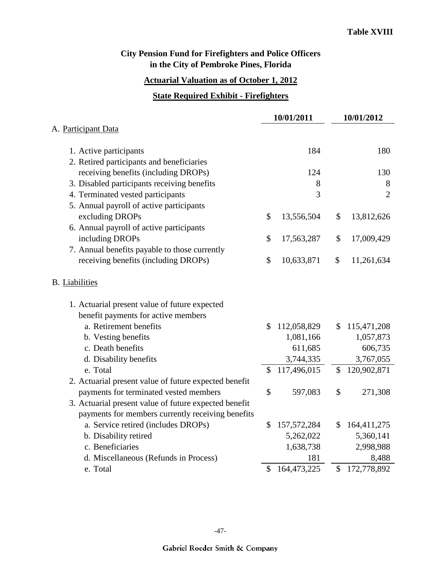### **Actuarial Valuation as of October 1, 2012**

#### **State Required Exhibit - Firefighters**

|                                                       | 10/01/2011          | 10/01/2012        |
|-------------------------------------------------------|---------------------|-------------------|
| A. Participant Data                                   |                     |                   |
| 1. Active participants                                | 184                 | 180               |
| 2. Retired participants and beneficiaries             |                     |                   |
| receiving benefits (including DROPs)                  | 124                 | 130               |
| 3. Disabled participants receiving benefits           | 8                   | 8                 |
| 4. Terminated vested participants                     | 3                   | $\overline{2}$    |
| 5. Annual payroll of active participants              |                     |                   |
| excluding DROPs                                       | \$<br>13,556,504    | \$<br>13,812,626  |
| 6. Annual payroll of active participants              |                     |                   |
| including DROPs                                       | \$<br>17,563,287    | \$<br>17,009,429  |
| 7. Annual benefits payable to those currently         |                     |                   |
| receiving benefits (including DROPs)                  | \$<br>10,633,871    | \$<br>11,261,634  |
| <b>B.</b> Liabilities                                 |                     |                   |
| 1. Actuarial present value of future expected         |                     |                   |
| benefit payments for active members                   |                     |                   |
| a. Retirement benefits                                | \$<br>112,058,829   | \$<br>115,471,208 |
| b. Vesting benefits                                   | 1,081,166           | 1,057,873         |
| c. Death benefits                                     | 611,685             | 606,735           |
| d. Disability benefits                                | 3,744,335           | 3,767,055         |
| e. Total                                              | \$<br>117,496,015   | \$<br>120,902,871 |
| 2. Actuarial present value of future expected benefit |                     |                   |
| payments for terminated vested members                | \$<br>597,083       | \$<br>271,308     |
| 3. Actuarial present value of future expected benefit |                     |                   |
| payments for members currently receiving benefits     |                     |                   |
| a. Service retired (includes DROPs)                   | \$<br>157, 572, 284 | \$<br>164,411,275 |
| b. Disability retired                                 | 5,262,022           | 5,360,141         |
| c. Beneficiaries                                      | 1,638,738           | 2,998,988         |
| d. Miscellaneous (Refunds in Process)                 | 181                 | 8,488             |
| e. Total                                              | \$<br>164,473,225   | \$172,778,892     |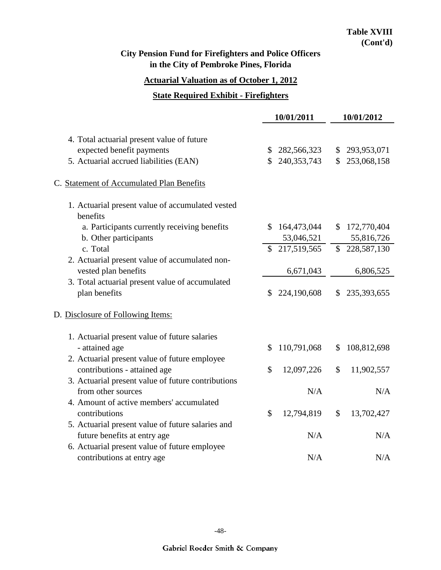#### **Actuarial Valuation as of October 1, 2012**

#### **State Required Exhibit - Firefighters**

|                                                              | 10/01/2011    |               |    | 10/01/2012    |  |  |
|--------------------------------------------------------------|---------------|---------------|----|---------------|--|--|
|                                                              |               |               |    |               |  |  |
| 4. Total actuarial present value of future                   |               |               |    |               |  |  |
| expected benefit payments                                    | \$            | 282,566,323   |    | \$293,953,071 |  |  |
| 5. Actuarial accrued liabilities (EAN)                       |               | \$240,353,743 | \$ | 253,068,158   |  |  |
| C. Statement of Accumulated Plan Benefits                    |               |               |    |               |  |  |
| 1. Actuarial present value of accumulated vested<br>benefits |               |               |    |               |  |  |
| a. Participants currently receiving benefits                 | \$            | 164,473,044   | \$ | 172,770,404   |  |  |
| b. Other participants                                        |               | 53,046,521    |    | 55,816,726    |  |  |
| c. Total                                                     | S.            | 217,519,565   |    | \$228,587,130 |  |  |
| 2. Actuarial present value of accumulated non-               |               |               |    |               |  |  |
| vested plan benefits                                         |               | 6,671,043     |    | 6,806,525     |  |  |
| 3. Total actuarial present value of accumulated              |               |               |    |               |  |  |
| plan benefits                                                | \$            | 224,190,608   | \$ | 235,393,655   |  |  |
| D. Disclosure of Following Items:                            |               |               |    |               |  |  |
| 1. Actuarial present value of future salaries                |               |               |    |               |  |  |
| - attained age                                               | \$            | 110,791,068   | \$ | 108,812,698   |  |  |
| 2. Actuarial present value of future employee                |               |               |    |               |  |  |
| contributions - attained age                                 | $\mathcal{S}$ | 12,097,226    | \$ | 11,902,557    |  |  |
| 3. Actuarial present value of future contributions           |               |               |    |               |  |  |
| from other sources                                           |               | N/A           |    | N/A           |  |  |
| 4. Amount of active members' accumulated                     |               |               |    |               |  |  |
| contributions                                                | $\mathcal{S}$ | 12,794,819    | \$ | 13,702,427    |  |  |
| 5. Actuarial present value of future salaries and            |               |               |    |               |  |  |
| future benefits at entry age                                 |               | N/A           |    | N/A           |  |  |
| 6. Actuarial present value of future employee                |               |               |    |               |  |  |
| contributions at entry age                                   |               | N/A           |    | N/A           |  |  |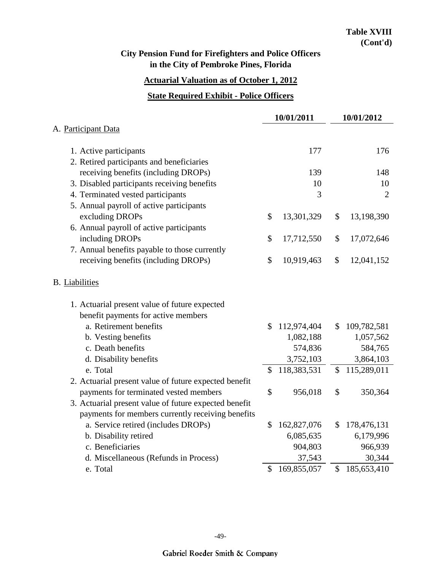### **Actuarial Valuation as of October 1, 2012**

#### **State Required Exhibit - Police Officers**

|                                                       | 10/01/2011        |               | 10/01/2012     |
|-------------------------------------------------------|-------------------|---------------|----------------|
| A. Participant Data                                   |                   |               |                |
| 1. Active participants                                | 177               |               | 176            |
| 2. Retired participants and beneficiaries             |                   |               |                |
| receiving benefits (including DROPs)                  | 139               |               | 148            |
| 3. Disabled participants receiving benefits           | 10                |               | 10             |
| 4. Terminated vested participants                     | 3                 |               | $\overline{2}$ |
| 5. Annual payroll of active participants              |                   |               |                |
| excluding DROPs                                       | \$<br>13,301,329  | \$            | 13,198,390     |
| 6. Annual payroll of active participants              |                   |               |                |
| including DROPs                                       | \$<br>17,712,550  | \$            | 17,072,646     |
| 7. Annual benefits payable to those currently         |                   |               |                |
| receiving benefits (including DROPs)                  | \$<br>10,919,463  | \$            | 12,041,152     |
| <b>B.</b> Liabilities                                 |                   |               |                |
| 1. Actuarial present value of future expected         |                   |               |                |
| benefit payments for active members                   |                   |               |                |
| a. Retirement benefits                                | \$<br>112,974,404 | \$            | 109,782,581    |
| b. Vesting benefits                                   | 1,082,188         |               | 1,057,562      |
| c. Death benefits                                     | 574,836           |               | 584,765        |
| d. Disability benefits                                | 3,752,103         |               | 3,864,103      |
| e. Total                                              | \$<br>118,383,531 | \$            | 115,289,011    |
| 2. Actuarial present value of future expected benefit |                   |               |                |
| payments for terminated vested members                | \$<br>956,018     | \$            | 350,364        |
| 3. Actuarial present value of future expected benefit |                   |               |                |
| payments for members currently receiving benefits     |                   |               |                |
| a. Service retired (includes DROPs)                   | \$<br>162,827,076 | \$            | 178,476,131    |
| b. Disability retired                                 | 6,085,635         |               | 6,179,996      |
| c. Beneficiaries                                      | 904,803           |               | 966,939        |
| d. Miscellaneous (Refunds in Process)                 | 37,543            |               | 30,344         |
| e. Total                                              | \$<br>169,855,057 | $\mathcal{S}$ | 185,653,410    |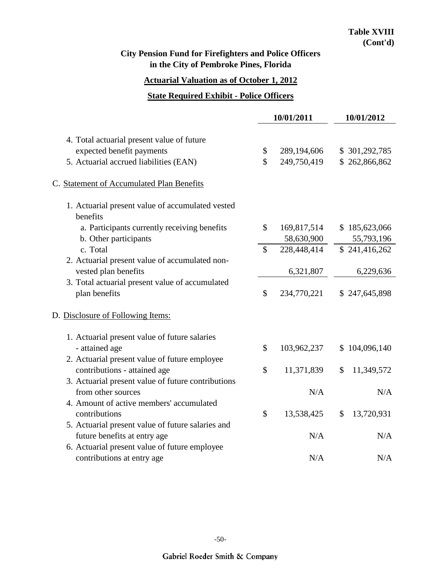# **Actuarial Valuation as of October 1, 2012**

#### **State Required Exhibit - Police Officers**

|                                                              |               | 10/01/2011  | 10/01/2012       |
|--------------------------------------------------------------|---------------|-------------|------------------|
|                                                              |               |             |                  |
| 4. Total actuarial present value of future                   |               |             |                  |
| expected benefit payments                                    | \$            | 289,194,606 | \$301,292,785    |
| 5. Actuarial accrued liabilities (EAN)                       | $\mathcal{S}$ | 249,750,419 | \$262,866,862    |
| C. Statement of Accumulated Plan Benefits                    |               |             |                  |
| 1. Actuarial present value of accumulated vested<br>benefits |               |             |                  |
| a. Participants currently receiving benefits                 | \$            | 169,817,514 | \$185,623,066    |
| b. Other participants                                        |               | 58,630,900  | 55,793,196       |
| c. Total                                                     | \$            | 228,448,414 | \$241,416,262    |
| 2. Actuarial present value of accumulated non-               |               |             |                  |
| vested plan benefits                                         |               | 6,321,807   | 6,229,636        |
| 3. Total actuarial present value of accumulated              |               |             |                  |
| plan benefits                                                | \$            | 234,770,221 | \$247,645,898    |
| D. Disclosure of Following Items:                            |               |             |                  |
| 1. Actuarial present value of future salaries                |               |             |                  |
| - attained age                                               | $\mathcal{S}$ | 103,962,237 | \$104,096,140    |
| 2. Actuarial present value of future employee                |               |             |                  |
| contributions - attained age                                 | \$            | 11,371,839  | 11,349,572<br>\$ |
| 3. Actuarial present value of future contributions           |               |             |                  |
| from other sources                                           |               | N/A         | N/A              |
| 4. Amount of active members' accumulated                     |               |             |                  |
| contributions                                                | \$            | 13,538,425  | 13,720,931<br>\$ |
| 5. Actuarial present value of future salaries and            |               |             |                  |
| future benefits at entry age                                 |               | N/A         | N/A              |
| 6. Actuarial present value of future employee                |               |             |                  |
| contributions at entry age                                   |               | N/A         | N/A              |
|                                                              |               |             |                  |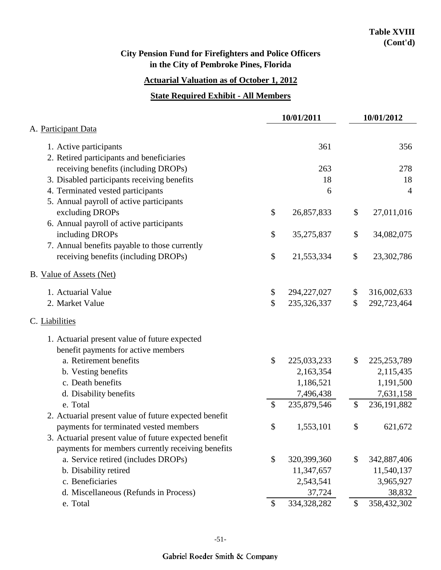### **Actuarial Valuation as of October 1, 2012**

#### **State Required Exhibit - All Members**

|                                                       | 10/01/2011    |               |    | 10/01/2012     |  |  |
|-------------------------------------------------------|---------------|---------------|----|----------------|--|--|
| A. Participant Data                                   |               |               |    |                |  |  |
| 1. Active participants                                |               | 361           |    | 356            |  |  |
| 2. Retired participants and beneficiaries             |               |               |    |                |  |  |
| receiving benefits (including DROPs)                  |               | 263           |    | 278            |  |  |
| 3. Disabled participants receiving benefits           |               | 18            |    | 18             |  |  |
| 4. Terminated vested participants                     |               | 6             |    | $\overline{4}$ |  |  |
| 5. Annual payroll of active participants              |               |               |    |                |  |  |
| excluding DROPs                                       | \$            | 26,857,833    | \$ | 27,011,016     |  |  |
| 6. Annual payroll of active participants              |               |               |    |                |  |  |
| including DROPs                                       | \$            | 35,275,837    | \$ | 34,082,075     |  |  |
| 7. Annual benefits payable to those currently         |               |               |    |                |  |  |
| receiving benefits (including DROPs)                  | \$            | 21,553,334    | \$ | 23,302,786     |  |  |
| B. Value of Assets (Net)                              |               |               |    |                |  |  |
| 1. Actuarial Value                                    | \$            | 294, 227, 027 | \$ | 316,002,633    |  |  |
| 2. Market Value                                       | \$            | 235,326,337   | \$ | 292,723,464    |  |  |
| C. Liabilities                                        |               |               |    |                |  |  |
| 1. Actuarial present value of future expected         |               |               |    |                |  |  |
| benefit payments for active members                   |               |               |    |                |  |  |
| a. Retirement benefits                                | \$            | 225,033,233   | \$ | 225, 253, 789  |  |  |
| b. Vesting benefits                                   |               | 2,163,354     |    | 2,115,435      |  |  |
| c. Death benefits                                     |               | 1,186,521     |    | 1,191,500      |  |  |
| d. Disability benefits                                |               | 7,496,438     |    | 7,631,158      |  |  |
| e. Total                                              | \$            | 235,879,546   | \$ | 236, 191, 882  |  |  |
| 2. Actuarial present value of future expected benefit |               |               |    |                |  |  |
| payments for terminated vested members                | \$            | 1,553,101     | \$ | 621,672        |  |  |
| 3. Actuarial present value of future expected benefit |               |               |    |                |  |  |
| payments for members currently receiving benefits     |               |               |    |                |  |  |
| a. Service retired (includes DROPs)                   | \$            | 320,399,360   | \$ | 342,887,406    |  |  |
| b. Disability retired                                 |               | 11,347,657    |    | 11,540,137     |  |  |
| c. Beneficiaries                                      |               | 2,543,541     |    | 3,965,927      |  |  |
| d. Miscellaneous (Refunds in Process)                 |               | 37,724        |    | 38,832         |  |  |
| e. Total                                              | $\mathcal{S}$ | 334,328,282   | \$ | 358,432,302    |  |  |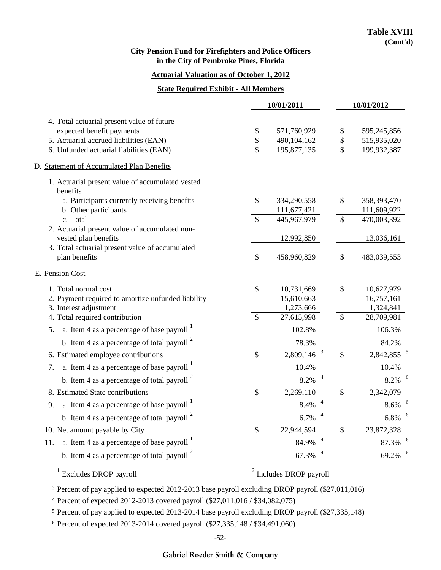#### **Actuarial Valuation as of October 1, 2012**

#### **State Required Exhibit - All Members**

|                                                               | 10/01/2011               |                           |              | 10/01/2012               |  |  |
|---------------------------------------------------------------|--------------------------|---------------------------|--------------|--------------------------|--|--|
| 4. Total actuarial present value of future                    |                          |                           |              |                          |  |  |
| expected benefit payments                                     | \$                       | 571,760,929               | \$           | 595,245,856              |  |  |
| 5. Actuarial accrued liabilities (EAN)                        | \$                       | 490,104,162               | \$           | 515,935,020              |  |  |
| 6. Unfunded actuarial liabilities (EAN)                       | \$                       | 195,877,135               | $\mathbb{S}$ | 199,932,387              |  |  |
| D. Statement of Accumulated Plan Benefits                     |                          |                           |              |                          |  |  |
| 1. Actuarial present value of accumulated vested<br>benefits  |                          |                           |              |                          |  |  |
| a. Participants currently receiving benefits                  | \$                       | 334,290,558               | \$           | 358,393,470              |  |  |
| b. Other participants                                         |                          | 111,677,421               |              | 111,609,922              |  |  |
| c. Total<br>2. Actuarial present value of accumulated non-    | \$                       | 445,967,979               | \$           | 470,003,392              |  |  |
| vested plan benefits                                          |                          | 12,992,850                |              | 13,036,161               |  |  |
| 3. Total actuarial present value of accumulated               |                          |                           |              |                          |  |  |
| plan benefits                                                 | \$                       | 458,960,829               | \$           | 483,039,553              |  |  |
| E. Pension Cost                                               |                          |                           |              |                          |  |  |
| 1. Total normal cost                                          | \$                       | 10,731,669                | \$           | 10,627,979               |  |  |
| 2. Payment required to amortize unfunded liability            |                          | 15,610,663                |              | 16,757,161               |  |  |
| 3. Interest adjustment                                        |                          | 1,273,666                 |              | 1,324,841                |  |  |
| 4. Total required contribution                                | $\overline{\mathcal{S}}$ | 27,615,998                | \$           | 28,709,981               |  |  |
| a. Item 4 as a percentage of base payroll $\frac{1}{1}$<br>5. |                          | 102.8%                    |              | 106.3%                   |  |  |
| b. Item 4 as a percentage of total payroll $2$                |                          | 78.3%                     |              | 84.2%                    |  |  |
| 6. Estimated employee contributions                           | \$                       | $\beta$<br>2,809,146      | $\$$         | $2,842,855$ <sup>5</sup> |  |  |
| a. Item 4 as a percentage of base payroll $\frac{1}{1}$<br>7. |                          | 10.4%                     |              | 10.4%                    |  |  |
| b. Item 4 as a percentage of total payroll $^{2}$             |                          | 8.2%                      |              | $8.2\%$ $^{-6}$          |  |  |
| 8. Estimated State contributions                              | \$                       | 2,269,110                 | \$           | 2,342,079                |  |  |
| a. Item 4 as a percentage of base payroll $\frac{1}{1}$<br>9. |                          | 8.4%                      |              | 8.6%                     |  |  |
| b. Item 4 as a percentage of total payroll $2$                |                          | 6.7%                      |              | 6.8%                     |  |  |
| 10. Net amount payable by City                                | \$                       | 22,944,594                | \$           | 23,872,328               |  |  |
| a. Item 4 as a percentage of base payroll $1$<br>11.          |                          | 84.9%                     |              | 87.3%                    |  |  |
| b. Item 4 as a percentage of total payroll $2$                |                          | 67.3%                     |              | 69.2% 6                  |  |  |
| <sup>1</sup> Excludes DROP payroll                            |                          | $2$ Includes DROP payroll |              |                          |  |  |

<sup>3</sup> Percent of pay applied to expected 2012-2013 base payroll excluding DROP payroll (\$27,011,016)

4 Percent of expected 2012-2013 covered payroll (\$27,011,016 / \$34,082,075)

5 Percent of pay applied to expected 2013-2014 base payroll excluding DROP payroll (\$27,335,148)

<sup>6</sup> Percent of expected 2013-2014 covered payroll (\$27,335,148 / \$34,491,060)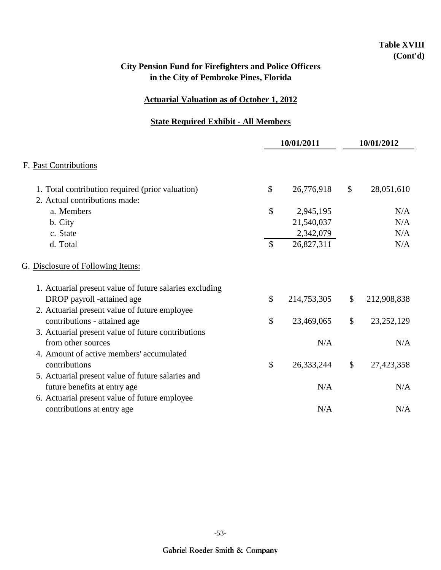## **Table XVIII (Cont'd)**

## **City Pension Fund for Firefighters and Police Officers in the City of Pembroke Pines, Florida**

### **Actuarial Valuation as of October 1, 2012**

### **State Required Exhibit - All Members**

|                                                                                   | 10/01/2011    |             | 10/01/2012              |              |  |
|-----------------------------------------------------------------------------------|---------------|-------------|-------------------------|--------------|--|
| F. Past Contributions                                                             |               |             |                         |              |  |
| 1. Total contribution required (prior valuation)<br>2. Actual contributions made: | \$            | 26,776,918  | \$                      | 28,051,610   |  |
| a. Members                                                                        | \$            | 2,945,195   |                         | N/A          |  |
| b. City                                                                           |               | 21,540,037  |                         | N/A          |  |
| c. State                                                                          |               | 2,342,079   |                         | N/A          |  |
| d. Total                                                                          | $\mathcal{S}$ | 26,827,311  |                         | N/A          |  |
| G. Disclosure of Following Items:                                                 |               |             |                         |              |  |
| 1. Actuarial present value of future salaries excluding                           |               |             |                         |              |  |
| DROP payroll -attained age                                                        | $\mathcal{S}$ | 214,753,305 | \$                      | 212,908,838  |  |
| 2. Actuarial present value of future employee                                     |               |             |                         |              |  |
| contributions - attained age                                                      | \$            | 23,469,065  | \$                      | 23, 252, 129 |  |
| 3. Actuarial present value of future contributions                                |               |             |                         |              |  |
| from other sources                                                                |               | N/A         |                         | N/A          |  |
| 4. Amount of active members' accumulated                                          |               |             |                         |              |  |
| contributions                                                                     | $\mathcal{S}$ | 26,333,244  | $\sqrt[6]{\frac{1}{2}}$ | 27,423,358   |  |
| 5. Actuarial present value of future salaries and                                 |               |             |                         |              |  |
| future benefits at entry age                                                      |               | N/A         |                         | N/A          |  |
| 6. Actuarial present value of future employee                                     |               |             |                         |              |  |
| contributions at entry age                                                        |               | N/A         |                         | N/A          |  |